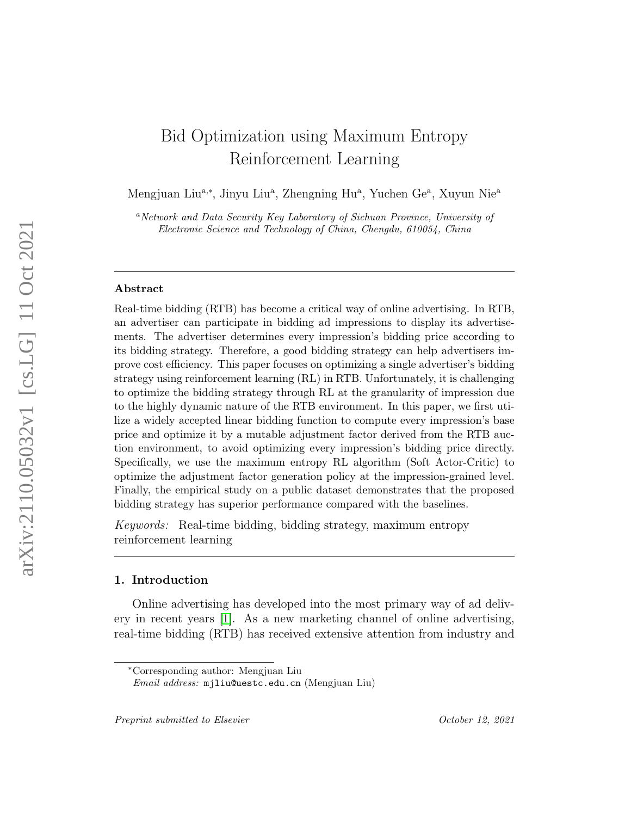# Bid Optimization using Maximum Entropy Reinforcement Learning

Mengjuan Liu<sup>a,∗</sup>, Jinyu Liu<sup>a</sup>, Zhengning Hu<sup>a</sup>, Yuchen Ge<sup>a</sup>, Xuyun Nie<sup>a</sup>

<sup>a</sup>Network and Data Security Key Laboratory of Sichuan Province, University of Electronic Science and Technology of China, Chengdu, 610054, China

#### Abstract

Real-time bidding (RTB) has become a critical way of online advertising. In RTB, an advertiser can participate in bidding ad impressions to display its advertisements. The advertiser determines every impression's bidding price according to its bidding strategy. Therefore, a good bidding strategy can help advertisers improve cost efficiency. This paper focuses on optimizing a single advertiser's bidding strategy using reinforcement learning (RL) in RTB. Unfortunately, it is challenging to optimize the bidding strategy through RL at the granularity of impression due to the highly dynamic nature of the RTB environment. In this paper, we first utilize a widely accepted linear bidding function to compute every impression's base price and optimize it by a mutable adjustment factor derived from the RTB auction environment, to avoid optimizing every impression's bidding price directly. Specifically, we use the maximum entropy RL algorithm (Soft Actor-Critic) to optimize the adjustment factor generation policy at the impression-grained level. Finally, the empirical study on a public dataset demonstrates that the proposed bidding strategy has superior performance compared with the baselines.

Keywords: Real-time bidding, bidding strategy, maximum entropy reinforcement learning

#### 1. Introduction

Online advertising has developed into the most primary way of ad delivery in recent years [\[1\]](#page-27-0). As a new marketing channel of online advertising, real-time bidding (RTB) has received extensive attention from industry and

<sup>∗</sup>Corresponding author: Mengjuan Liu

Email address: mjliu@uestc.edu.cn (Mengjuan Liu)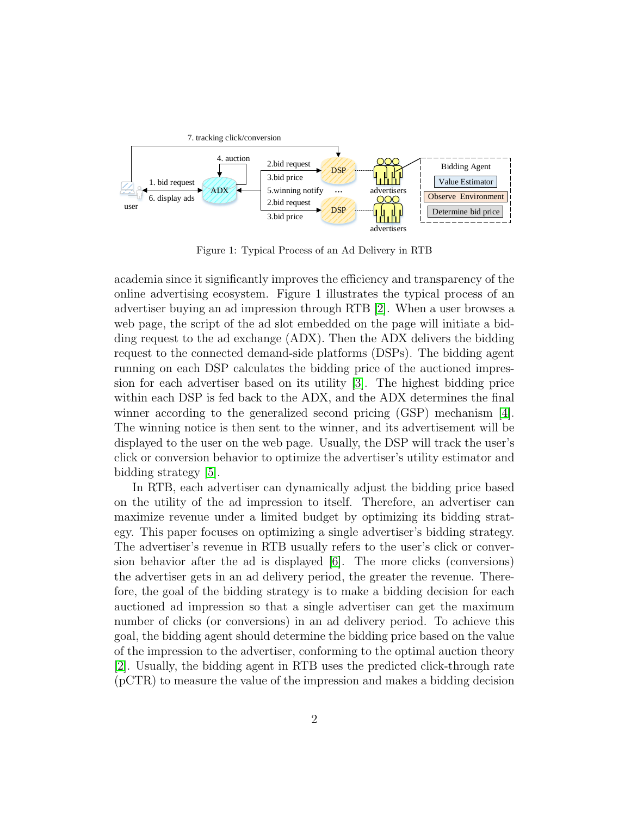

Figure 1: Typical Process of an Ad Delivery in RTB

academia since it significantly improves the efficiency and transparency of the online advertising ecosystem. Figure 1 illustrates the typical process of an advertiser buying an ad impression through RTB [\[2\]](#page-27-1). When a user browses a web page, the script of the ad slot embedded on the page will initiate a bidding request to the ad exchange (ADX). Then the ADX delivers the bidding request to the connected demand-side platforms (DSPs). The bidding agent running on each DSP calculates the bidding price of the auctioned impression for each advertiser based on its utility [\[3\]](#page-27-2). The highest bidding price within each DSP is fed back to the ADX, and the ADX determines the final winner according to the generalized second pricing (GSP) mechanism [\[4\]](#page-27-3). The winning notice is then sent to the winner, and its advertisement will be displayed to the user on the web page. Usually, the DSP will track the user's click or conversion behavior to optimize the advertiser's utility estimator and bidding strategy [\[5\]](#page-27-4).

In RTB, each advertiser can dynamically adjust the bidding price based on the utility of the ad impression to itself. Therefore, an advertiser can maximize revenue under a limited budget by optimizing its bidding strategy. This paper focuses on optimizing a single advertiser's bidding strategy. The advertiser's revenue in RTB usually refers to the user's click or conversion behavior after the ad is displayed [\[6\]](#page-27-5). The more clicks (conversions) the advertiser gets in an ad delivery period, the greater the revenue. Therefore, the goal of the bidding strategy is to make a bidding decision for each auctioned ad impression so that a single advertiser can get the maximum number of clicks (or conversions) in an ad delivery period. To achieve this goal, the bidding agent should determine the bidding price based on the value of the impression to the advertiser, conforming to the optimal auction theory [\[2\]](#page-27-1). Usually, the bidding agent in RTB uses the predicted click-through rate (pCTR) to measure the value of the impression and makes a bidding decision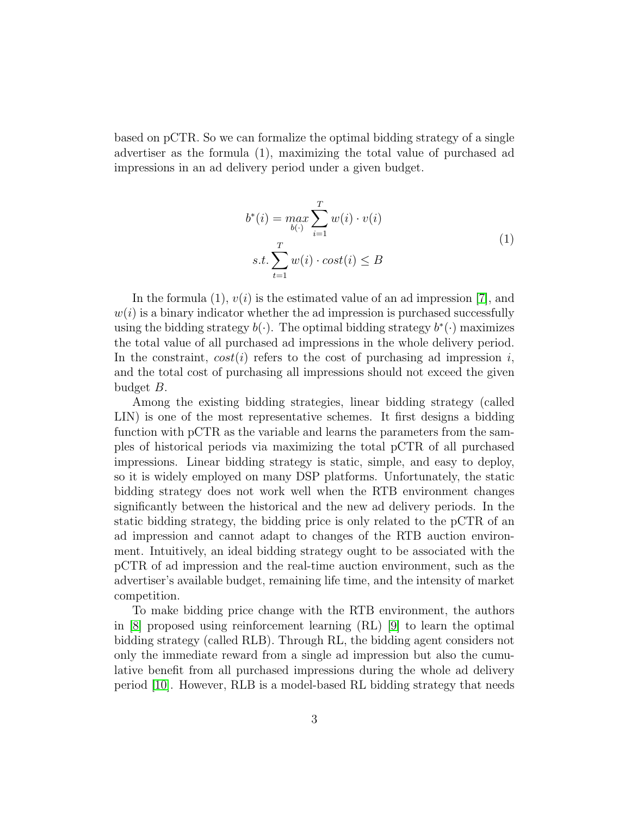based on pCTR. So we can formalize the optimal bidding strategy of a single advertiser as the formula (1), maximizing the total value of purchased ad impressions in an ad delivery period under a given budget.

$$
b^*(i) = \max_{b(\cdot)} \sum_{i=1}^T w(i) \cdot v(i)
$$
  
s.t. 
$$
\sum_{t=1}^T w(i) \cdot cost(i) \le B
$$
 (1)

In the formula (1),  $v(i)$  is the estimated value of an ad impression [\[7\]](#page-27-6), and  $w(i)$  is a binary indicator whether the ad impression is purchased successfully using the bidding strategy  $b(\cdot)$ . The optimal bidding strategy  $b^*(\cdot)$  maximizes the total value of all purchased ad impressions in the whole delivery period. In the constraint,  $cost(i)$  refers to the cost of purchasing ad impression i, and the total cost of purchasing all impressions should not exceed the given budget B.

Among the existing bidding strategies, linear bidding strategy (called LIN) is one of the most representative schemes. It first designs a bidding function with pCTR as the variable and learns the parameters from the samples of historical periods via maximizing the total pCTR of all purchased impressions. Linear bidding strategy is static, simple, and easy to deploy, so it is widely employed on many DSP platforms. Unfortunately, the static bidding strategy does not work well when the RTB environment changes significantly between the historical and the new ad delivery periods. In the static bidding strategy, the bidding price is only related to the pCTR of an ad impression and cannot adapt to changes of the RTB auction environment. Intuitively, an ideal bidding strategy ought to be associated with the pCTR of ad impression and the real-time auction environment, such as the advertiser's available budget, remaining life time, and the intensity of market competition.

To make bidding price change with the RTB environment, the authors in [\[8\]](#page-27-7) proposed using reinforcement learning (RL) [\[9\]](#page-27-8) to learn the optimal bidding strategy (called RLB). Through RL, the bidding agent considers not only the immediate reward from a single ad impression but also the cumulative benefit from all purchased impressions during the whole ad delivery period [\[10\]](#page-28-0). However, RLB is a model-based RL bidding strategy that needs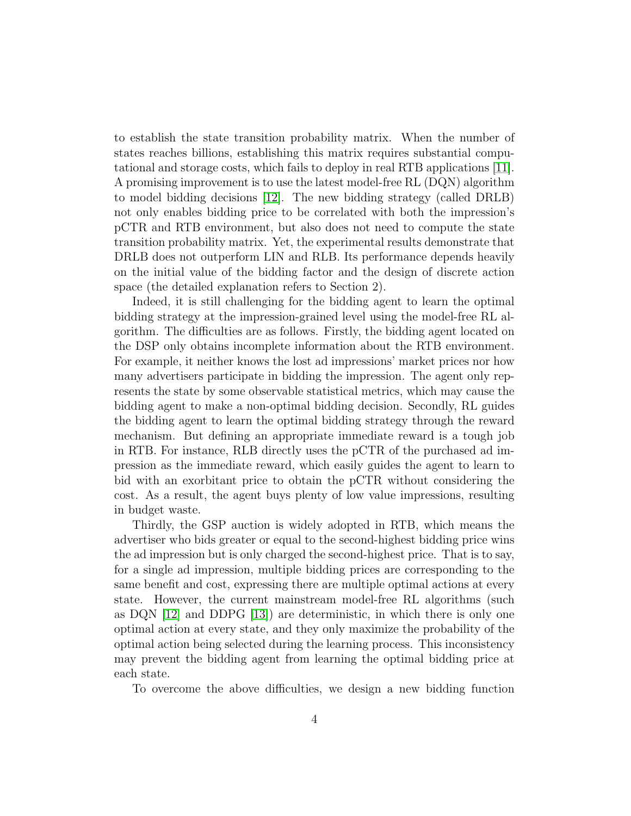to establish the state transition probability matrix. When the number of states reaches billions, establishing this matrix requires substantial computational and storage costs, which fails to deploy in real RTB applications [\[11\]](#page-28-1). A promising improvement is to use the latest model-free RL (DQN) algorithm to model bidding decisions [\[12\]](#page-28-2). The new bidding strategy (called DRLB) not only enables bidding price to be correlated with both the impression's pCTR and RTB environment, but also does not need to compute the state transition probability matrix. Yet, the experimental results demonstrate that DRLB does not outperform LIN and RLB. Its performance depends heavily on the initial value of the bidding factor and the design of discrete action space (the detailed explanation refers to Section 2).

Indeed, it is still challenging for the bidding agent to learn the optimal bidding strategy at the impression-grained level using the model-free RL algorithm. The difficulties are as follows. Firstly, the bidding agent located on the DSP only obtains incomplete information about the RTB environment. For example, it neither knows the lost ad impressions' market prices nor how many advertisers participate in bidding the impression. The agent only represents the state by some observable statistical metrics, which may cause the bidding agent to make a non-optimal bidding decision. Secondly, RL guides the bidding agent to learn the optimal bidding strategy through the reward mechanism. But defining an appropriate immediate reward is a tough job in RTB. For instance, RLB directly uses the pCTR of the purchased ad impression as the immediate reward, which easily guides the agent to learn to bid with an exorbitant price to obtain the pCTR without considering the cost. As a result, the agent buys plenty of low value impressions, resulting in budget waste.

Thirdly, the GSP auction is widely adopted in RTB, which means the advertiser who bids greater or equal to the second-highest bidding price wins the ad impression but is only charged the second-highest price. That is to say, for a single ad impression, multiple bidding prices are corresponding to the same benefit and cost, expressing there are multiple optimal actions at every state. However, the current mainstream model-free RL algorithms (such as  $DQN$  [\[12\]](#page-28-2) and  $DDPG$  [\[13\]](#page-28-3)) are deterministic, in which there is only one optimal action at every state, and they only maximize the probability of the optimal action being selected during the learning process. This inconsistency may prevent the bidding agent from learning the optimal bidding price at each state.

To overcome the above difficulties, we design a new bidding function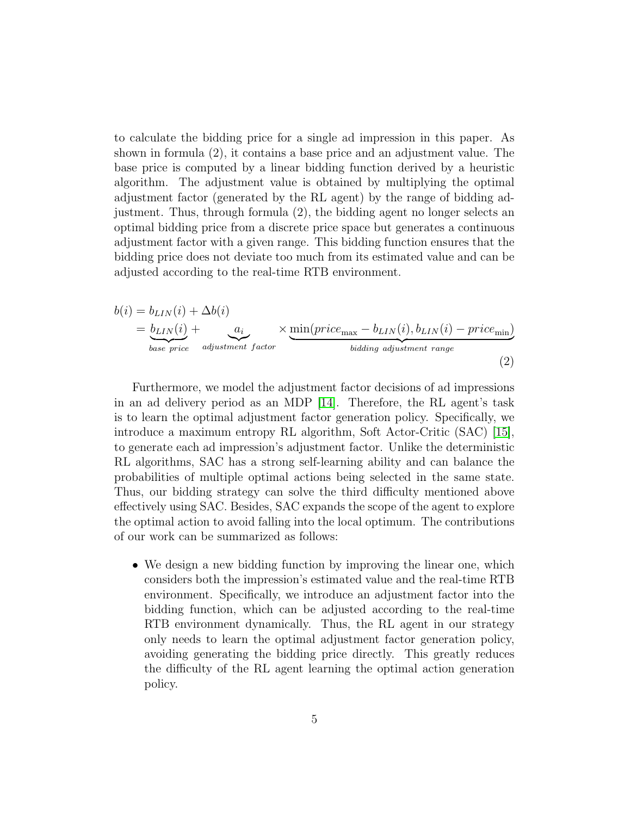to calculate the bidding price for a single ad impression in this paper. As shown in formula (2), it contains a base price and an adjustment value. The base price is computed by a linear bidding function derived by a heuristic algorithm. The adjustment value is obtained by multiplying the optimal adjustment factor (generated by the RL agent) by the range of bidding adjustment. Thus, through formula (2), the bidding agent no longer selects an optimal bidding price from a discrete price space but generates a continuous adjustment factor with a given range. This bidding function ensures that the bidding price does not deviate too much from its estimated value and can be adjusted according to the real-time RTB environment.

$$
b(i) = b_{LIN}(i) + \Delta b(i)
$$
  
=  $b_{LIN}(i) + a_i$   
base price adjustment factor  

$$
a_{djustment factor}
$$
  

$$
b_{tidding adjustment range}
$$
  
(2)

Furthermore, we model the adjustment factor decisions of ad impressions in an ad delivery period as an MDP [\[14\]](#page-28-4). Therefore, the RL agent's task is to learn the optimal adjustment factor generation policy. Specifically, we introduce a maximum entropy RL algorithm, Soft Actor-Critic (SAC) [\[15\]](#page-28-5), to generate each ad impression's adjustment factor. Unlike the deterministic RL algorithms, SAC has a strong self-learning ability and can balance the probabilities of multiple optimal actions being selected in the same state. Thus, our bidding strategy can solve the third difficulty mentioned above effectively using SAC. Besides, SAC expands the scope of the agent to explore the optimal action to avoid falling into the local optimum. The contributions of our work can be summarized as follows:

• We design a new bidding function by improving the linear one, which considers both the impression's estimated value and the real-time RTB environment. Specifically, we introduce an adjustment factor into the bidding function, which can be adjusted according to the real-time RTB environment dynamically. Thus, the RL agent in our strategy only needs to learn the optimal adjustment factor generation policy, avoiding generating the bidding price directly. This greatly reduces the difficulty of the RL agent learning the optimal action generation policy.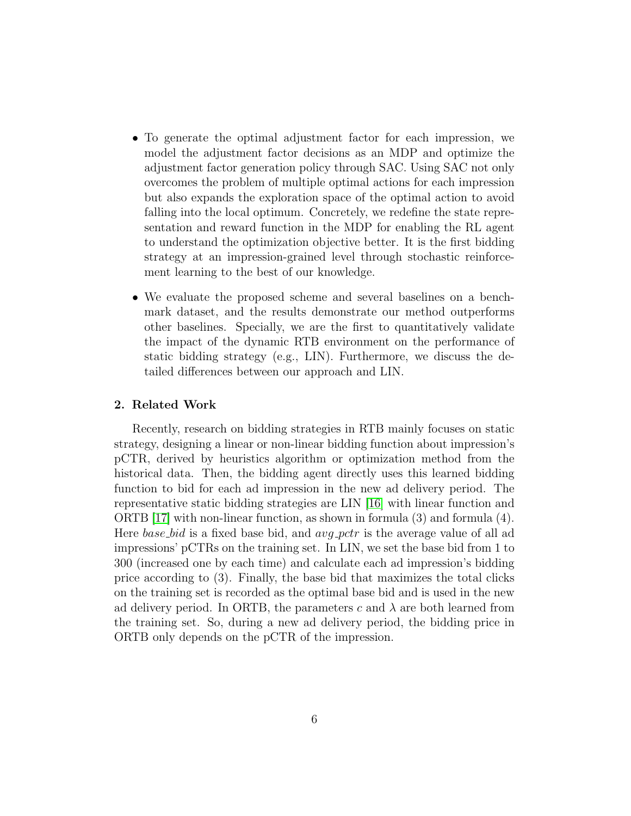- To generate the optimal adjustment factor for each impression, we model the adjustment factor decisions as an MDP and optimize the adjustment factor generation policy through SAC. Using SAC not only overcomes the problem of multiple optimal actions for each impression but also expands the exploration space of the optimal action to avoid falling into the local optimum. Concretely, we redefine the state representation and reward function in the MDP for enabling the RL agent to understand the optimization objective better. It is the first bidding strategy at an impression-grained level through stochastic reinforcement learning to the best of our knowledge.
- We evaluate the proposed scheme and several baselines on a benchmark dataset, and the results demonstrate our method outperforms other baselines. Specially, we are the first to quantitatively validate the impact of the dynamic RTB environment on the performance of static bidding strategy (e.g., LIN). Furthermore, we discuss the detailed differences between our approach and LIN.

#### 2. Related Work

Recently, research on bidding strategies in RTB mainly focuses on static strategy, designing a linear or non-linear bidding function about impression's pCTR, derived by heuristics algorithm or optimization method from the historical data. Then, the bidding agent directly uses this learned bidding function to bid for each ad impression in the new ad delivery period. The representative static bidding strategies are LIN [\[16\]](#page-28-6) with linear function and ORTB [\[17\]](#page-28-7) with non-linear function, as shown in formula (3) and formula (4). Here *base bid* is a fixed base bid, and *avg\_pctr* is the average value of all ad impressions' pCTRs on the training set. In LIN, we set the base bid from 1 to 300 (increased one by each time) and calculate each ad impression's bidding price according to (3). Finally, the base bid that maximizes the total clicks on the training set is recorded as the optimal base bid and is used in the new ad delivery period. In ORTB, the parameters c and  $\lambda$  are both learned from the training set. So, during a new ad delivery period, the bidding price in ORTB only depends on the pCTR of the impression.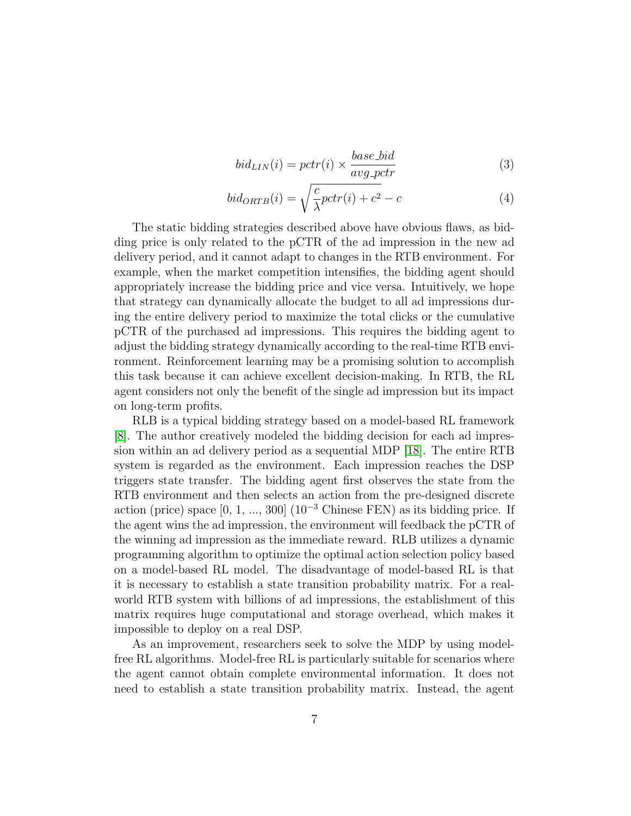$$
bid_{LIN}(i) = pctr(i) \times \frac{base\_bid}{avg\_potr}
$$
\n(3)

$$
bid_{ORTB}(i) = \sqrt{\frac{c}{\lambda}pctr(i) + c^2} - c \tag{4}
$$

The static bidding strategies described above have obvious flaws, as bidding price is only related to the pCTR of the ad impression in the new ad delivery period, and it cannot adapt to changes in the RTB environment. For example, when the market competition intensifies, the bidding agent should appropriately increase the bidding price and vice versa. Intuitively, we hope that strategy can dynamically allocate the budget to all ad impressions during the entire delivery period to maximize the total clicks or the cumulative pCTR of the purchased ad impressions. This requires the bidding agent to adjust the bidding strategy dynamically according to the real-time RTB environment. Reinforcement learning may be a promising solution to accomplish this task because it can achieve excellent decision-making. In RTB, the RL agent considers not only the benefit of the single ad impression but its impact on long-term profits.

RLB is a typical bidding strategy based on a model-based RL framework [\[8\]](#page-27-7). The author creatively modeled the bidding decision for each ad impression within an ad delivery period as a sequential MDP [\[18\]](#page-29-0). The entire RTB system is regarded as the environment. Each impression reaches the DSP triggers state transfer. The bidding agent first observes the state from the RTB environment and then selects an action from the pre-designed discrete action (price) space  $[0, 1, ..., 300]$  (10<sup>-3</sup> Chinese FEN) as its bidding price. If the agent wins the ad impression, the environment will feedback the pCTR of the winning ad impression as the immediate reward. RLB utilizes a dynamic programming algorithm to optimize the optimal action selection policy based on a model-based RL model. The disadvantage of model-based RL is that it is necessary to establish a state transition probability matrix. For a realworld RTB system with billions of ad impressions, the establishment of this matrix requires huge computational and storage overhead, which makes it impossible to deploy on a real DSP.

As an improvement, researchers seek to solve the MDP by using modelfree RL algorithms. Model-free RL is particularly suitable for scenarios where the agent cannot obtain complete environmental information. It does not need to establish a state transition probability matrix. Instead, the agent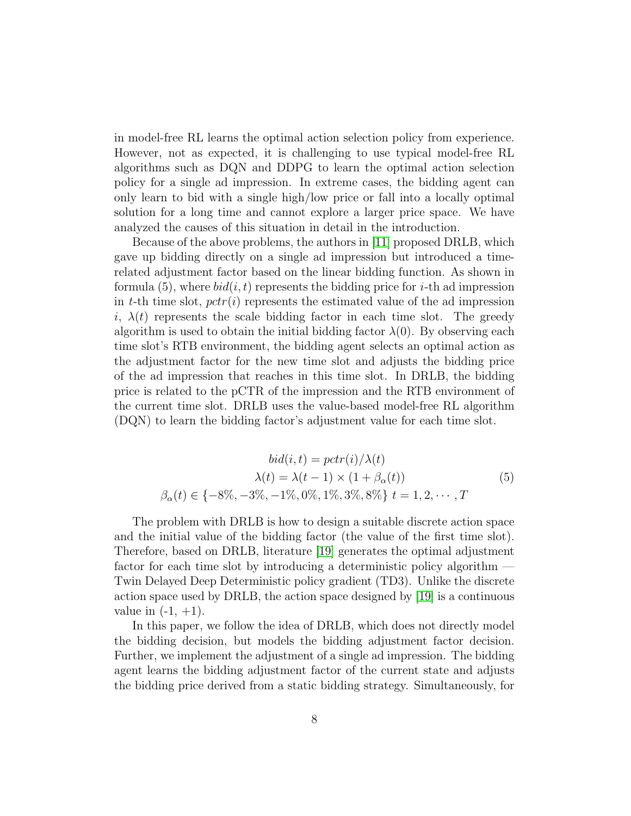in model-free RL learns the optimal action selection policy from experience. However, not as expected, it is challenging to use typical model-free RL algorithms such as DQN and DDPG to learn the optimal action selection policy for a single ad impression. In extreme cases, the bidding agent can only learn to bid with a single high/low price or fall into a locally optimal solution for a long time and cannot explore a larger price space. We have analyzed the causes of this situation in detail in the introduction.

Because of the above problems, the authors in [\[11\]](#page-28-1) proposed DRLB, which gave up bidding directly on a single ad impression but introduced a timerelated adjustment factor based on the linear bidding function. As shown in formula (5), where  $bid(i, t)$  represents the bidding price for *i*-th ad impression in t-th time slot,  $pctr(i)$  represents the estimated value of the ad impression i,  $\lambda(t)$  represents the scale bidding factor in each time slot. The greedy algorithm is used to obtain the initial bidding factor  $\lambda(0)$ . By observing each time slot's RTB environment, the bidding agent selects an optimal action as the adjustment factor for the new time slot and adjusts the bidding price of the ad impression that reaches in this time slot. In DRLB, the bidding price is related to the pCTR of the impression and the RTB environment of the current time slot. DRLB uses the value-based model-free RL algorithm (DQN) to learn the bidding factor's adjustment value for each time slot.

$$
bid(i, t) = pctr(i)/\lambda(t)
$$

$$
\lambda(t) = \lambda(t - 1) \times (1 + \beta_{\alpha}(t))
$$

$$
\beta_{\alpha}(t) \in \{-8\%, -3\%, -1\%, 0\%, 1\%, 3\%, 8\% \} \ t = 1, 2, \cdots, T
$$
 (5)

The problem with DRLB is how to design a suitable discrete action space and the initial value of the bidding factor (the value of the first time slot). Therefore, based on DRLB, literature [\[19\]](#page-29-1) generates the optimal adjustment factor for each time slot by introducing a deterministic policy algorithm — Twin Delayed Deep Deterministic policy gradient (TD3). Unlike the discrete action space used by DRLB, the action space designed by [\[19\]](#page-29-1) is a continuous value in  $(-1, +1)$ .

In this paper, we follow the idea of DRLB, which does not directly model the bidding decision, but models the bidding adjustment factor decision. Further, we implement the adjustment of a single ad impression. The bidding agent learns the bidding adjustment factor of the current state and adjusts the bidding price derived from a static bidding strategy. Simultaneously, for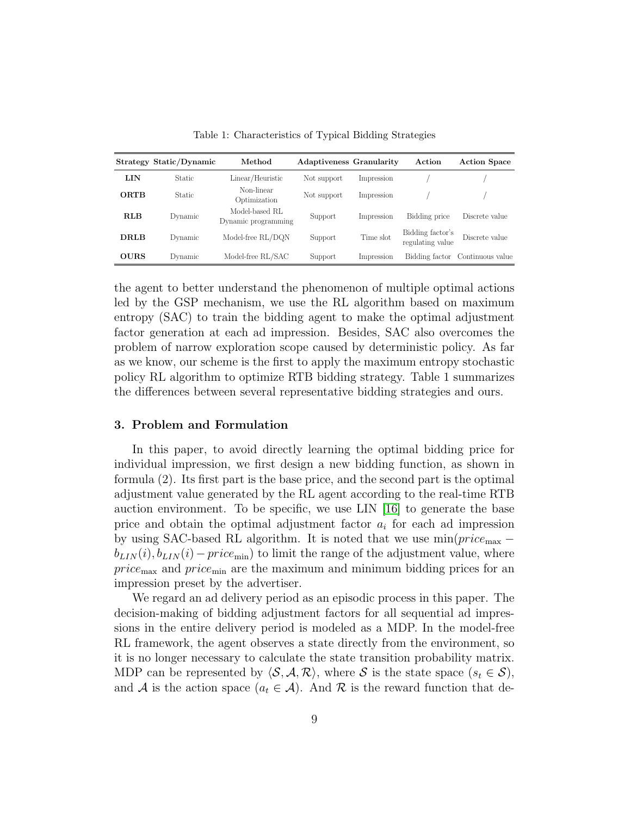|             | Strategy Static/Dynamic | Method                                | <b>Adaptiveness Granularity</b> |            | Action                               | <b>Action Space</b>             |
|-------------|-------------------------|---------------------------------------|---------------------------------|------------|--------------------------------------|---------------------------------|
| <b>LIN</b>  | <b>Static</b>           | Linear/Heuristic                      | Not support                     | Impression |                                      |                                 |
| <b>ORTB</b> | <b>Static</b>           | Non-linear<br>Optimization            | Not support                     | Impression |                                      |                                 |
| <b>RLB</b>  | Dynamic                 | Model-based RL<br>Dynamic programming | Support                         | Impression | Bidding price                        | Discrete value                  |
| <b>DRLB</b> | Dynamic                 | Model-free RL/DQN                     | Support                         | Time slot  | Bidding factor's<br>regulating value | Discrete value                  |
| <b>OURS</b> | Dynamic                 | Model-free RL/SAC                     | Support                         | Impression |                                      | Bidding factor Continuous value |

Table 1: Characteristics of Typical Bidding Strategies

the agent to better understand the phenomenon of multiple optimal actions led by the GSP mechanism, we use the RL algorithm based on maximum entropy (SAC) to train the bidding agent to make the optimal adjustment factor generation at each ad impression. Besides, SAC also overcomes the problem of narrow exploration scope caused by deterministic policy. As far as we know, our scheme is the first to apply the maximum entropy stochastic policy RL algorithm to optimize RTB bidding strategy. Table 1 summarizes the differences between several representative bidding strategies and ours.

# 3. Problem and Formulation

In this paper, to avoid directly learning the optimal bidding price for individual impression, we first design a new bidding function, as shown in formula (2). Its first part is the base price, and the second part is the optimal adjustment value generated by the RL agent according to the real-time RTB auction environment. To be specific, we use LIN  $|16|$  to generate the base price and obtain the optimal adjustment factor  $a_i$  for each ad impression by using SAC-based RL algorithm. It is noted that we use  $min(price_{max}$  $b_{LIN}(i), b_{LIN}(i) - price_{min}$  to limit the range of the adjustment value, where  $price<sub>max</sub>$  and  $price<sub>min</sub>$  are the maximum and minimum bidding prices for an impression preset by the advertiser.

We regard an ad delivery period as an episodic process in this paper. The decision-making of bidding adjustment factors for all sequential ad impressions in the entire delivery period is modeled as a MDP. In the model-free RL framework, the agent observes a state directly from the environment, so it is no longer necessary to calculate the state transition probability matrix. MDP can be represented by  $\langle S, A, R \rangle$ , where S is the state space  $(s_t \in S)$ , and A is the action space  $(a_t \in \mathcal{A})$ . And R is the reward function that de-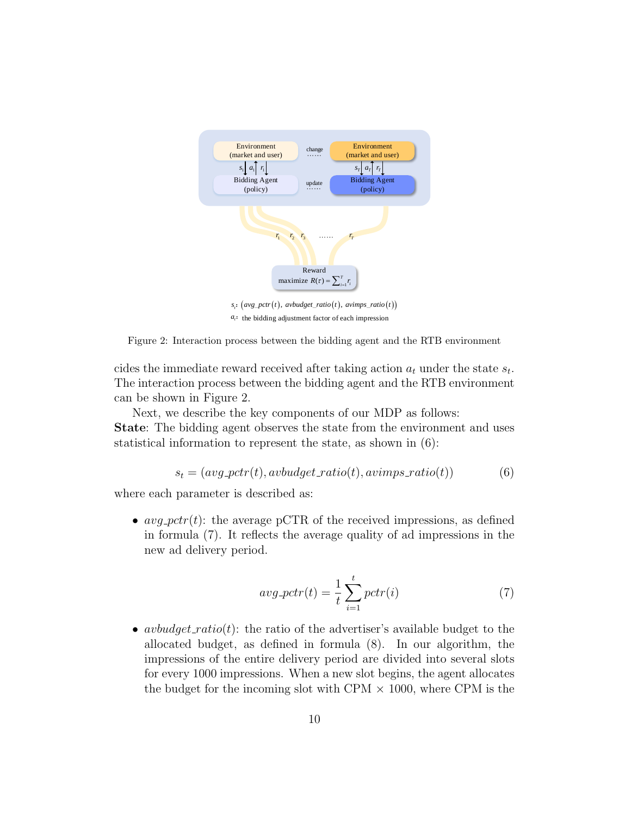

 $a_i$ : the bidding adjustment factor of each impression



cides the immediate reward received after taking action  $a_t$  under the state  $s_t$ . The interaction process between the bidding agent and the RTB environment can be shown in Figure 2.

Next, we describe the key components of our MDP as follows: State: The bidding agent observes the state from the environment and uses statistical information to represent the state, as shown in (6):

$$
s_t = (avg{\text{-}petr}(t), avbudget{\text{-}ratio}(t), avimps{\text{-}ratio}(t))
$$
 (6)

where each parameter is described as:

•  $avg\_pctr(t)$ : the average pCTR of the received impressions, as defined in formula (7). It reflects the average quality of ad impressions in the new ad delivery period.

$$
avg\_pctr(t) = \frac{1}{t} \sum_{i=1}^{t} pctr(i)
$$
\n(7)

• avbudget\_ratio(t): the ratio of the advertiser's available budget to the allocated budget, as defined in formula (8). In our algorithm, the impressions of the entire delivery period are divided into several slots for every 1000 impressions. When a new slot begins, the agent allocates the budget for the incoming slot with CPM  $\times$  1000, where CPM is the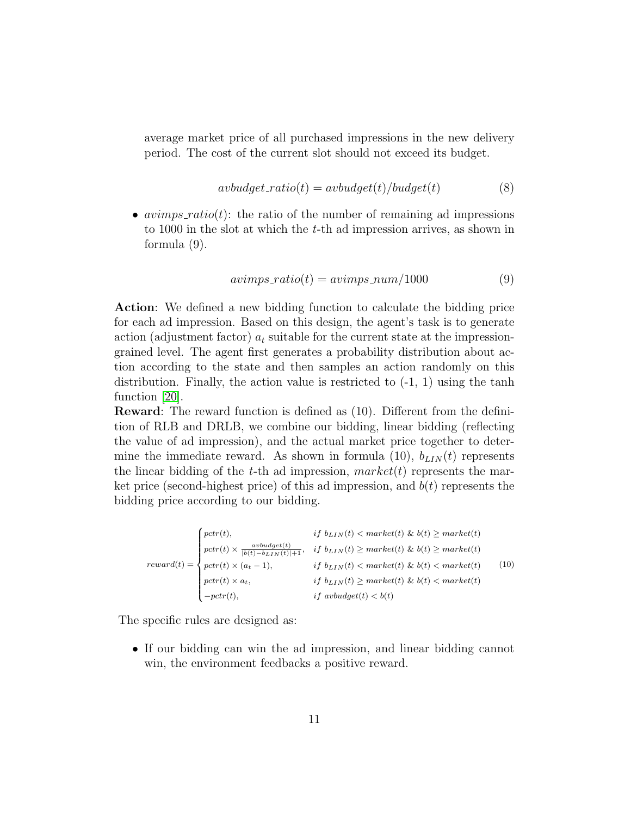average market price of all purchased impressions in the new delivery period. The cost of the current slot should not exceed its budget.

$$
avbudget\_ratio(t) = avbudget(t)/budget(t)
$$
\n(8)

•  $avimps\_ratio(t)$ : the ratio of the number of remaining ad impressions to 1000 in the slot at which the t-th ad impression arrives, as shown in formula (9).

$$
avimps\_ratio(t) = avimps\_num/1000
$$
\n(9)

Action: We defined a new bidding function to calculate the bidding price for each ad impression. Based on this design, the agent's task is to generate action (adjustment factor)  $a_t$  suitable for the current state at the impressiongrained level. The agent first generates a probability distribution about action according to the state and then samples an action randomly on this distribution. Finally, the action value is restricted to  $(-1, 1)$  using the tanh function [\[20\]](#page-29-2).

Reward: The reward function is defined as (10). Different from the definition of RLB and DRLB, we combine our bidding, linear bidding (reflecting the value of ad impression), and the actual market price together to determine the immediate reward. As shown in formula (10),  $b_{LIN}(t)$  represents the linear bidding of the t-th ad impression,  $market(t)$  represents the market price (second-highest price) of this ad impression, and  $b(t)$  represents the bidding price according to our bidding.

$$
reward(t) = \begin{cases} port(t), & if \ b_{LIN}(t) < market(t) \ \& b(t) \geq market(t) \\ port(t) \times \frac{avbudget(t)}{|b(t) - b_{LIN}(t)| + 1}, & if \ b_{LIN}(t) \geq market(t) \ \& b(t) \geq market(t) \\ port(t) \times (a_t - 1), & if \ b_{LIN}(t) < market(t) \ \& b(t) < market(t) \\ port(t) \times a_t, & if \ b_{LIN}(t) \geq market(t) \ \& b(t) < market(t) \\ -pctr(t), & if \ avbudget(t) < b(t) \end{cases} \tag{10}
$$

The specific rules are designed as:

• If our bidding can win the ad impression, and linear bidding cannot win, the environment feedbacks a positive reward.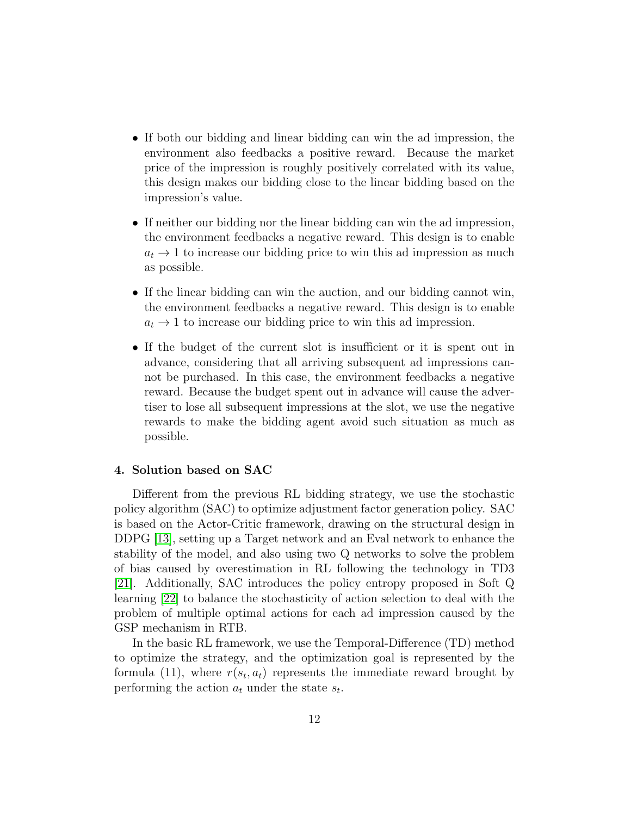- If both our bidding and linear bidding can win the ad impression, the environment also feedbacks a positive reward. Because the market price of the impression is roughly positively correlated with its value, this design makes our bidding close to the linear bidding based on the impression's value.
- If neither our bidding nor the linear bidding can win the ad impression, the environment feedbacks a negative reward. This design is to enable  $a_t \rightarrow 1$  to increase our bidding price to win this ad impression as much as possible.
- If the linear bidding can win the auction, and our bidding cannot win, the environment feedbacks a negative reward. This design is to enable  $a_t \rightarrow 1$  to increase our bidding price to win this ad impression.
- If the budget of the current slot is insufficient or it is spent out in advance, considering that all arriving subsequent ad impressions cannot be purchased. In this case, the environment feedbacks a negative reward. Because the budget spent out in advance will cause the advertiser to lose all subsequent impressions at the slot, we use the negative rewards to make the bidding agent avoid such situation as much as possible.

## 4. Solution based on SAC

Different from the previous RL bidding strategy, we use the stochastic policy algorithm (SAC) to optimize adjustment factor generation policy. SAC is based on the Actor-Critic framework, drawing on the structural design in DDPG [\[13\]](#page-28-3), setting up a Target network and an Eval network to enhance the stability of the model, and also using two Q networks to solve the problem of bias caused by overestimation in RL following the technology in TD3 [\[21\]](#page-29-3). Additionally, SAC introduces the policy entropy proposed in Soft Q learning [\[22\]](#page-29-4) to balance the stochasticity of action selection to deal with the problem of multiple optimal actions for each ad impression caused by the GSP mechanism in RTB.

In the basic RL framework, we use the Temporal-Difference (TD) method to optimize the strategy, and the optimization goal is represented by the formula (11), where  $r(s_t, a_t)$  represents the immediate reward brought by performing the action  $a_t$  under the state  $s_t$ .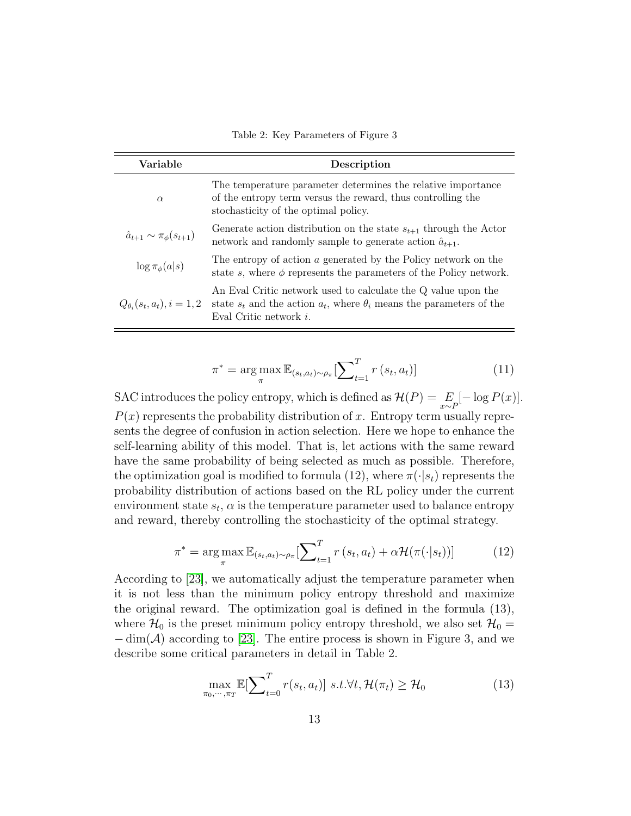Table 2: Key Parameters of Figure 3

| Variable                                 | Description                                                                                                                                                                |
|------------------------------------------|----------------------------------------------------------------------------------------------------------------------------------------------------------------------------|
| $\alpha$                                 | The temperature parameter determines the relative importance<br>of the entropy term versus the reward, thus controlling the<br>stochasticity of the optimal policy.        |
| $\hat{a}_{t+1} \sim \pi_{\phi}(s_{t+1})$ | Generate action distribution on the state $s_{t+1}$ through the Actor<br>network and randomly sample to generate action $\hat{a}_{t+1}$ .                                  |
| $\log \pi_{\phi}(a s)$                   | The entropy of action a generated by the Policy network on the<br>state s, where $\phi$ represents the parameters of the Policy network.                                   |
| $Q_{\theta_i}(s_t, a_t), i = 1, 2$       | An Eval Critic network used to calculate the Q value upon the<br>state $s_t$ and the action $a_t$ , where $\theta_i$ means the parameters of the<br>Eval Critic network i. |

$$
\pi^* = \underset{\pi}{\arg\max} \mathbb{E}_{(s_t, a_t) \sim \rho_{\pi}}[\sum_{t=1}^T r(s_t, a_t)] \tag{11}
$$

SAC introduces the policy entropy, which is defined as  $\mathcal{H}(P) = \mathop{E}_{x \sim P}[-\log P(x)].$  $P(x)$  represents the probability distribution of x. Entropy term usually represents the degree of confusion in action selection. Here we hope to enhance the self-learning ability of this model. That is, let actions with the same reward have the same probability of being selected as much as possible. Therefore, the optimization goal is modified to formula (12), where  $\pi(\cdot|s_t)$  represents the probability distribution of actions based on the RL policy under the current environment state  $s_t$ ,  $\alpha$  is the temperature parameter used to balance entropy and reward, thereby controlling the stochasticity of the optimal strategy.

$$
\pi^* = \arg\max_{\pi} \mathbb{E}_{(s_t, a_t) \sim \rho_{\pi}}[\sum_{t=1}^T r(s_t, a_t) + \alpha \mathcal{H}(\pi(\cdot|s_t))]
$$
(12)

According to [\[23\]](#page-29-5), we automatically adjust the temperature parameter when it is not less than the minimum policy entropy threshold and maximize the original reward. The optimization goal is defined in the formula (13), where  $\mathcal{H}_0$  is the preset minimum policy entropy threshold, we also set  $\mathcal{H}_0 =$  $-\dim(\mathcal{A})$  according to [\[23\]](#page-29-5). The entire process is shown in Figure 3, and we describe some critical parameters in detail in Table 2.

$$
\max_{\pi_0, \cdots, \pi_T} \mathbb{E}[\sum_{t=0}^T r(s_t, a_t)] \ s.t. \forall t, \mathcal{H}(\pi_t) \ge \mathcal{H}_0
$$
\n(13)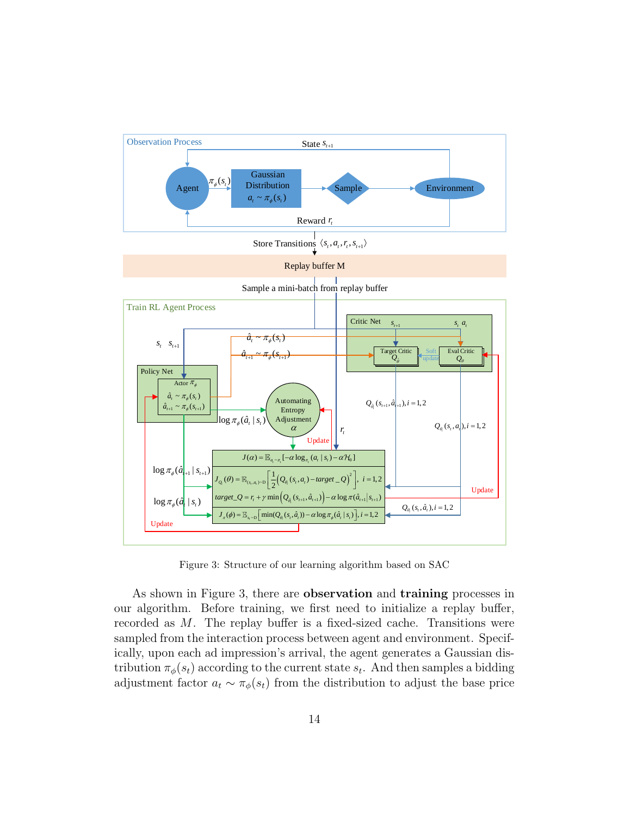

Figure 3: Structure of our learning algorithm based on SAC

As shown in Figure 3, there are **observation** and **training** processes in our algorithm. Before training, we first need to initialize a replay buffer, recorded as M. The replay buffer is a fixed-sized cache. Transitions were sampled from the interaction process between agent and environment. Specifically, upon each ad impression's arrival, the agent generates a Gaussian distribution  $\pi_{\phi}(s_t)$  according to the current state  $s_t$ . And then samples a bidding adjustment factor  $a_t \sim \pi_\phi(s_t)$  from the distribution to adjust the base price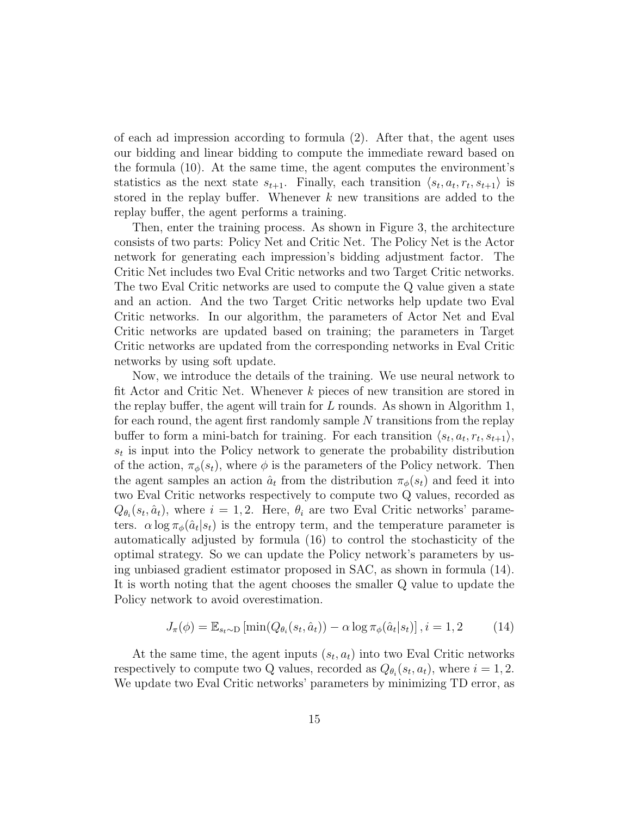of each ad impression according to formula (2). After that, the agent uses our bidding and linear bidding to compute the immediate reward based on the formula (10). At the same time, the agent computes the environment's statistics as the next state  $s_{t+1}$ . Finally, each transition  $\langle s_t, a_t, r_t, s_{t+1} \rangle$  is stored in the replay buffer. Whenever  $k$  new transitions are added to the replay buffer, the agent performs a training.

Then, enter the training process. As shown in Figure 3, the architecture consists of two parts: Policy Net and Critic Net. The Policy Net is the Actor network for generating each impression's bidding adjustment factor. The Critic Net includes two Eval Critic networks and two Target Critic networks. The two Eval Critic networks are used to compute the Q value given a state and an action. And the two Target Critic networks help update two Eval Critic networks. In our algorithm, the parameters of Actor Net and Eval Critic networks are updated based on training; the parameters in Target Critic networks are updated from the corresponding networks in Eval Critic networks by using soft update.

Now, we introduce the details of the training. We use neural network to fit Actor and Critic Net. Whenever k pieces of new transition are stored in the replay buffer, the agent will train for  $L$  rounds. As shown in Algorithm 1, for each round, the agent first randomly sample N transitions from the replay buffer to form a mini-batch for training. For each transition  $\langle s_t, a_t, r_t, s_{t+1} \rangle$ ,  $s_t$  is input into the Policy network to generate the probability distribution of the action,  $\pi_{\phi}(s_t)$ , where  $\phi$  is the parameters of the Policy network. Then the agent samples an action  $\hat{a}_t$  from the distribution  $\pi_{\phi}(s_t)$  and feed it into two Eval Critic networks respectively to compute two Q values, recorded as  $Q_{\theta_i}(s_t, \hat{a}_t)$ , where  $i = 1, 2$ . Here,  $\theta_i$  are two Eval Critic networks' parameters.  $\alpha \log \pi_{\phi}(\hat{a}_t | s_t)$  is the entropy term, and the temperature parameter is automatically adjusted by formula (16) to control the stochasticity of the optimal strategy. So we can update the Policy network's parameters by using unbiased gradient estimator proposed in SAC, as shown in formula (14). It is worth noting that the agent chooses the smaller Q value to update the Policy network to avoid overestimation.

$$
J_{\pi}(\phi) = \mathbb{E}_{s_t \sim D} \left[ \min(Q_{\theta_i}(s_t, \hat{a}_t)) - \alpha \log \pi_{\phi}(\hat{a}_t | s_t) \right], i = 1, 2 \tag{14}
$$

At the same time, the agent inputs  $(s_t, a_t)$  into two Eval Critic networks respectively to compute two Q values, recorded as  $Q_{\theta_i}(s_t, a_t)$ , where  $i = 1, 2$ . We update two Eval Critic networks' parameters by minimizing TD error, as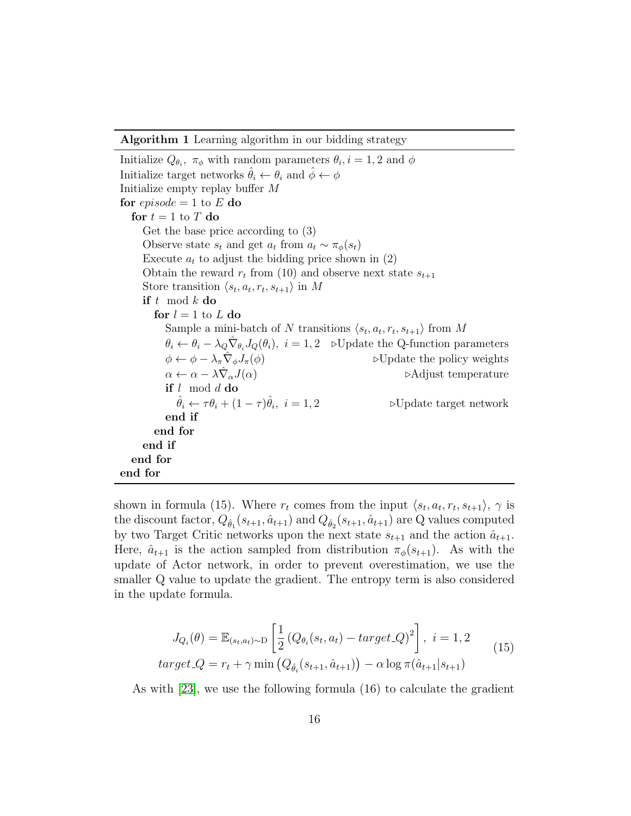Algorithm 1 Learning algorithm in our bidding strategy

Initialize  $Q_{\theta_i}$ ,  $\pi_{\phi}$  with random parameters  $\theta_i$ ,  $i = 1, 2$  and  $\phi$ Initialize target networks  $\theta_i \leftarrow \theta_i$  and  $\phi \leftarrow \phi$ Initialize empty replay buffer M for  $episode = 1$  to E do for  $t = 1$  to T do Get the base price according to (3) Observe state  $s_t$  and get  $a_t$  from  $a_t \sim \pi_\phi(s_t)$ Execute  $a_t$  to adjust the bidding price shown in  $(2)$ Obtain the reward  $r_t$  from (10) and observe next state  $s_{t+1}$ Store transition  $\langle s_t, a_t, r_t, s_{t+1} \rangle$  in M if  $t \mod k$  do for  $l = 1$  to L do Sample a mini-batch of N transitions  $\langle s_t, a_t, r_t, s_{t+1} \rangle$  from M  $\theta_i \leftarrow \theta_i - \lambda_Q \hat{\nabla}_{\theta_i} J_Q(\theta_i), i = 1, 2 \quad \text{cUpdate the Q-function parameters}$  $\phi \leftarrow \phi - \lambda_{\pi} \hat{\nabla}_{\phi} J_{\pi}(\phi)$  $\triangleright$ Update the policy weights  $\alpha \leftarrow \alpha - \lambda \hat{\nabla}_{\alpha} J(\alpha)$ ⊳Adjust temperature if  $l \mod d$  do  $\hat{\theta}_i \leftarrow \tau \theta_i + (1-\tau)\hat{\theta}_i$  $\triangleright$  Update target network end if end for end if end for end for

shown in formula (15). Where  $r_t$  comes from the input  $\langle s_t, a_t, r_t, s_{t+1} \rangle$ ,  $\gamma$  is the discount factor,  $Q_{\hat{\theta}_1}(s_{t+1}, \hat{a}_{t+1})$  and  $Q_{\hat{\theta}_2}(s_{t+1}, \hat{a}_{t+1})$  are Q values computed by two Target Critic networks upon the next state  $s_{t+1}$  and the action  $\hat{a}_{t+1}$ . Here,  $\hat{a}_{t+1}$  is the action sampled from distribution  $\pi_{\phi}(s_{t+1})$ . As with the update of Actor network, in order to prevent overestimation, we use the smaller Q value to update the gradient. The entropy term is also considered in the update formula.

$$
J_{Q_i}(\theta) = \mathbb{E}_{(s_t, a_t) \sim D} \left[ \frac{1}{2} \left( Q_{\theta_i}(s_t, a_t) - target \_Q \right)^2 \right], \ i = 1, 2
$$
  

$$
target \_Q = r_t + \gamma \min \left( Q_{\hat{\theta}_i}(s_{t+1}, \hat{a}_{t+1}) \right) - \alpha \log \pi(\hat{a}_{t+1}|s_{t+1})
$$
 (15)

As with [\[23\]](#page-29-5), we use the following formula (16) to calculate the gradient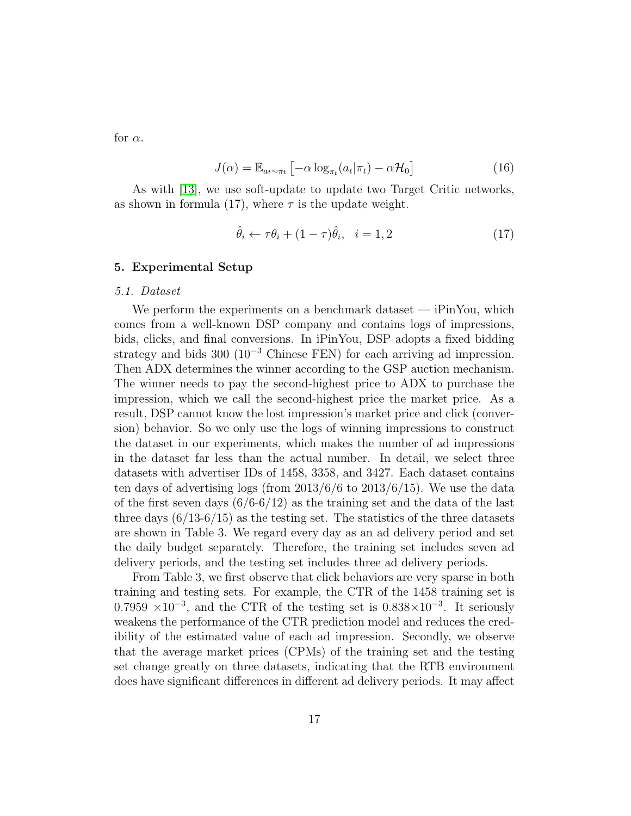for  $\alpha$ .

$$
J(\alpha) = \mathbb{E}_{a_t \sim \pi_t} \left[ -\alpha \log_{\pi_t} (a_t | \pi_t) - \alpha \mathcal{H}_0 \right]
$$
 (16)

As with [\[13\]](#page-28-3), we use soft-update to update two Target Critic networks, as shown in formula (17), where  $\tau$  is the update weight.

$$
\hat{\theta}_i \leftarrow \tau \theta_i + (1 - \tau)\hat{\theta}_i, \quad i = 1, 2 \tag{17}
$$

#### 5. Experimental Setup

#### 5.1. Dataset

We perform the experiments on a benchmark dataset — iPinYou, which comes from a well-known DSP company and contains logs of impressions, bids, clicks, and final conversions. In iPinYou, DSP adopts a fixed bidding strategy and bids 300 ( $10^{-3}$  Chinese FEN) for each arriving ad impression. Then ADX determines the winner according to the GSP auction mechanism. The winner needs to pay the second-highest price to ADX to purchase the impression, which we call the second-highest price the market price. As a result, DSP cannot know the lost impression's market price and click (conversion) behavior. So we only use the logs of winning impressions to construct the dataset in our experiments, which makes the number of ad impressions in the dataset far less than the actual number. In detail, we select three datasets with advertiser IDs of 1458, 3358, and 3427. Each dataset contains ten days of advertising logs (from  $2013/6/6$  to  $2013/6/15$ ). We use the data of the first seven days  $(6/6-6/12)$  as the training set and the data of the last three days  $(6/13-6/15)$  as the testing set. The statistics of the three datasets are shown in Table 3. We regard every day as an ad delivery period and set the daily budget separately. Therefore, the training set includes seven ad delivery periods, and the testing set includes three ad delivery periods.

From Table 3, we first observe that click behaviors are very sparse in both training and testing sets. For example, the CTR of the 1458 training set is  $0.7959 \times 10^{-3}$ , and the CTR of the testing set is  $0.838 \times 10^{-3}$ . It seriously weakens the performance of the CTR prediction model and reduces the credibility of the estimated value of each ad impression. Secondly, we observe that the average market prices (CPMs) of the training set and the testing set change greatly on three datasets, indicating that the RTB environment does have significant differences in different ad delivery periods. It may affect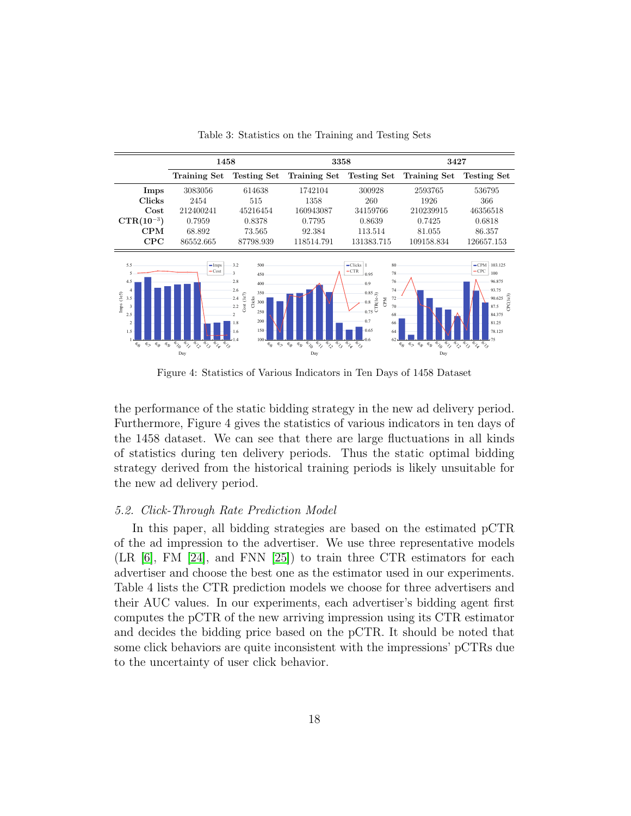

Table 3: Statistics on the Training and Testing Sets

Figure 4: Statistics of Various Indicators in Ten Days of 1458 Dataset

the performance of the static bidding strategy in the new ad delivery period. Furthermore, Figure 4 gives the statistics of various indicators in ten days of the 1458 dataset. We can see that there are large fluctuations in all kinds of statistics during ten delivery periods. Thus the static optimal bidding strategy derived from the historical training periods is likely unsuitable for the new ad delivery period.

#### 5.2. Click-Through Rate Prediction Model

In this paper, all bidding strategies are based on the estimated pCTR of the ad impression to the advertiser. We use three representative models (LR [\[6\]](#page-27-5), FM [\[24\]](#page-29-6), and FNN [\[25\]](#page-29-7)) to train three CTR estimators for each advertiser and choose the best one as the estimator used in our experiments. Table 4 lists the CTR prediction models we choose for three advertisers and their AUC values. In our experiments, each advertiser's bidding agent first computes the pCTR of the new arriving impression using its CTR estimator and decides the bidding price based on the pCTR. It should be noted that some click behaviors are quite inconsistent with the impressions' pCTRs due to the uncertainty of user click behavior.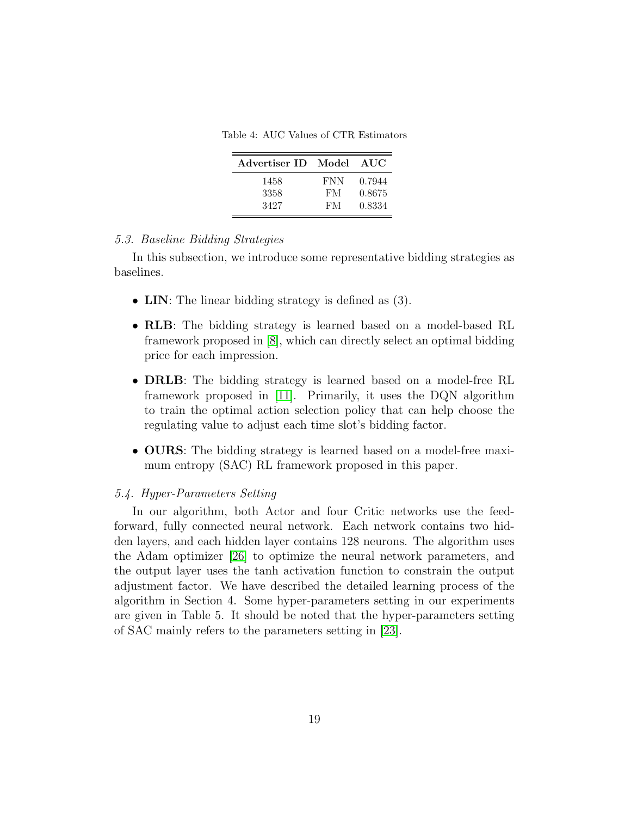Table 4: AUC Values of CTR Estimators

| Advertiser ID Model |            | AUC    |
|---------------------|------------|--------|
| 1458                | <b>FNN</b> | 0.7944 |
| 3358                | FM         | 0.8675 |
| 3427                | FM         | 0.8334 |

#### 5.3. Baseline Bidding Strategies

In this subsection, we introduce some representative bidding strategies as baselines.

- LIN: The linear bidding strategy is defined as  $(3)$ .
- RLB: The bidding strategy is learned based on a model-based RL framework proposed in [\[8\]](#page-27-7), which can directly select an optimal bidding price for each impression.
- DRLB: The bidding strategy is learned based on a model-free RL framework proposed in [\[11\]](#page-28-1). Primarily, it uses the DQN algorithm to train the optimal action selection policy that can help choose the regulating value to adjust each time slot's bidding factor.
- OURS: The bidding strategy is learned based on a model-free maximum entropy (SAC) RL framework proposed in this paper.

# 5.4. Hyper-Parameters Setting

In our algorithm, both Actor and four Critic networks use the feedforward, fully connected neural network. Each network contains two hidden layers, and each hidden layer contains 128 neurons. The algorithm uses the Adam optimizer [\[26\]](#page-29-8) to optimize the neural network parameters, and the output layer uses the tanh activation function to constrain the output adjustment factor. We have described the detailed learning process of the algorithm in Section 4. Some hyper-parameters setting in our experiments are given in Table 5. It should be noted that the hyper-parameters setting of SAC mainly refers to the parameters setting in [\[23\]](#page-29-5).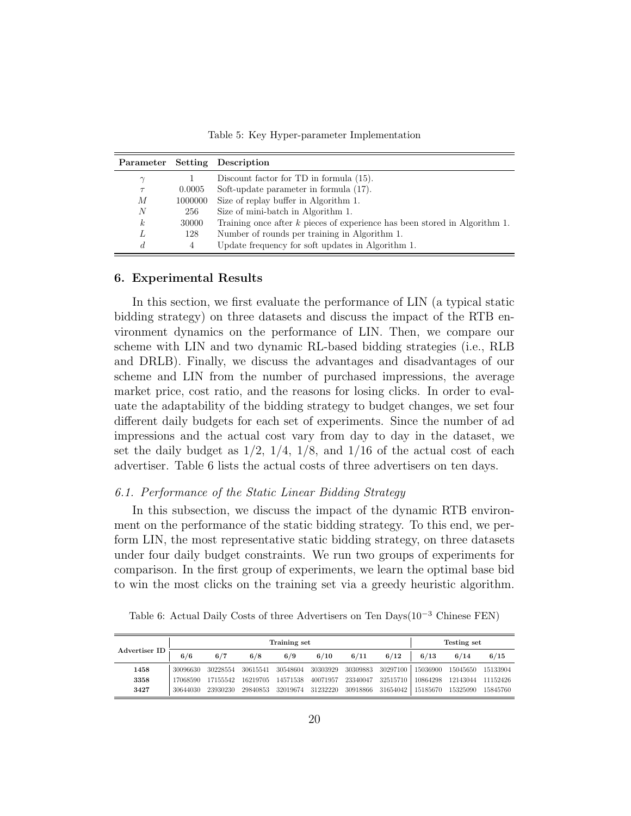Table 5: Key Hyper-parameter Implementation

|                  |         | Parameter Setting Description                                                |
|------------------|---------|------------------------------------------------------------------------------|
| $\gamma$         |         | Discount factor for TD in formula (15).                                      |
| $\tau$           | 0.0005  | Soft-update parameter in formula (17).                                       |
| М                | 1000000 | Size of replay buffer in Algorithm 1.                                        |
| N                | 256     | Size of mini-batch in Algorithm 1.                                           |
| $\boldsymbol{k}$ | 30000   | Training once after $k$ pieces of experience has been stored in Algorithm 1. |
|                  | 128     | Number of rounds per training in Algorithm 1.                                |
| d                | 4       | Update frequency for soft updates in Algorithm 1.                            |

#### 6. Experimental Results

In this section, we first evaluate the performance of LIN (a typical static bidding strategy) on three datasets and discuss the impact of the RTB environment dynamics on the performance of LIN. Then, we compare our scheme with LIN and two dynamic RL-based bidding strategies (i.e., RLB and DRLB). Finally, we discuss the advantages and disadvantages of our scheme and LIN from the number of purchased impressions, the average market price, cost ratio, and the reasons for losing clicks. In order to evaluate the adaptability of the bidding strategy to budget changes, we set four different daily budgets for each set of experiments. Since the number of ad impressions and the actual cost vary from day to day in the dataset, we set the daily budget as  $1/2$ ,  $1/4$ ,  $1/8$ , and  $1/16$  of the actual cost of each advertiser. Table 6 lists the actual costs of three advertisers on ten days.

#### 6.1. Performance of the Static Linear Bidding Strategy

In this subsection, we discuss the impact of the dynamic RTB environment on the performance of the static bidding strategy. To this end, we perform LIN, the most representative static bidding strategy, on three datasets under four daily budget constraints. We run two groups of experiments for comparison. In the first group of experiments, we learn the optimal base bid to win the most clicks on the training set via a greedy heuristic algorithm.

Table 6: Actual Daily Costs of three Advertisers on Ten Days(10<sup>-3</sup> Chinese FEN)

| Advertiser ID |          |          | Testing set |          |          |          |          |          |          |          |
|---------------|----------|----------|-------------|----------|----------|----------|----------|----------|----------|----------|
|               | 6/6      | 6/7      | 6/8         | 6/9      | 6/10     | 6/11     | 6/12     | 6/13     | 6/14     | 6/15     |
| 1458          | 30096630 | 30228554 | 30615541    | 30548604 | 30303929 | 30309883 | 30297100 | 15036900 | 15045650 | 15133904 |
| 3358          | 17068590 | 17155542 | 16219705    | 14571538 | 40071957 | 23340047 | 32515710 | 10864298 | 12143044 | 11152426 |
| 3427          | 30644030 | 23930230 | 29840853    | 32019674 | 31232220 | 30918866 | 31654042 | 15185670 | 15325090 | 15845760 |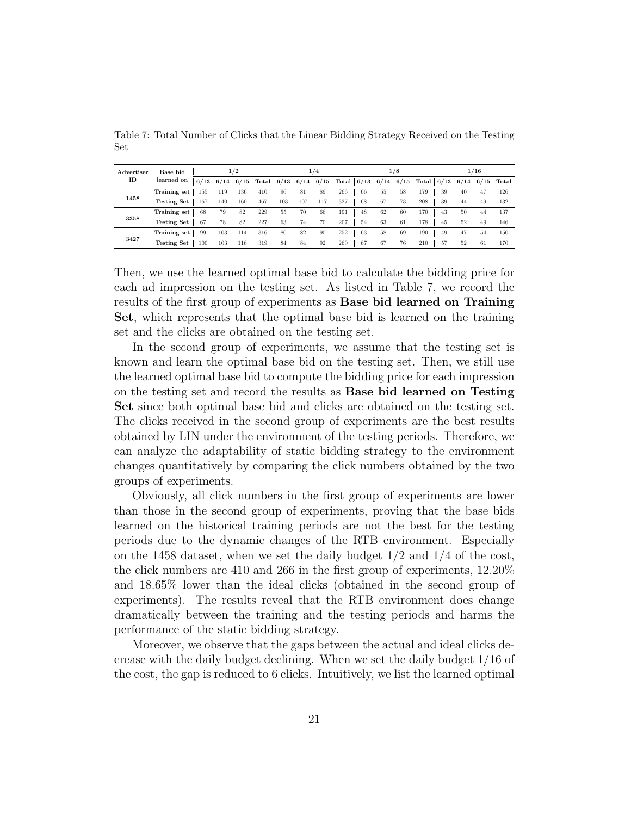| Advertiser | Base bid           |      | 1/2 |             |            |     | 1/4 |                                             |    | 1/8 |              |     |    | 1/16 |                   |
|------------|--------------------|------|-----|-------------|------------|-----|-----|---------------------------------------------|----|-----|--------------|-----|----|------|-------------------|
| ID         | learned on         | 6/13 |     | $6/14$ 6/15 |            |     |     | Total $6/13$ 6/14 6/15 Total 6/13 6/14 6/15 |    |     | Total $6/13$ |     |    |      | $6/14$ 6/15 Total |
|            | Training set       | 155  | 119 | 136         | 410<br>96  | 81  | 89  | 266<br>-66                                  | 55 | 58  | 179          | 39  | 40 | 47   | 126               |
| 1458       | <b>Testing Set</b> | 167  | 140 | 160         | 467<br>103 | 107 | 117 | 327<br>68                                   | 67 | 73  | 208          | 39  | 44 | 49   | 132               |
|            | Training set       | 68   | 79  | 82          | 229<br>55  | 70  | 66  | 191<br>48                                   | 62 | 60  | 170          | 43  | 50 | 44   | 137               |
| 3358       | <b>Testing Set</b> | 67   | 78  | 82          | 227<br>63  | 74  | 70  | 207<br>54                                   | 63 | 61  | 178          | 45  | 52 | 49   | 146               |
| 3427       | Training set       | 99   | 103 | 114         | 316<br>80  | 82  | 90  | 252<br>63                                   | 58 | 69  | 190          | 49  | 47 | 54   | 150               |
|            | <b>Testing Set</b> | 100  | 103 | 116         | 319<br>84  | 84  | 92  | 260<br>67                                   | 67 | 76  | 210          | -57 | 52 | 61   | 170               |

Table 7: Total Number of Clicks that the Linear Bidding Strategy Received on the Testing Set

Then, we use the learned optimal base bid to calculate the bidding price for each ad impression on the testing set. As listed in Table 7, we record the results of the first group of experiments as Base bid learned on Training Set, which represents that the optimal base bid is learned on the training set and the clicks are obtained on the testing set.

In the second group of experiments, we assume that the testing set is known and learn the optimal base bid on the testing set. Then, we still use the learned optimal base bid to compute the bidding price for each impression on the testing set and record the results as Base bid learned on Testing Set since both optimal base bid and clicks are obtained on the testing set. The clicks received in the second group of experiments are the best results obtained by LIN under the environment of the testing periods. Therefore, we can analyze the adaptability of static bidding strategy to the environment changes quantitatively by comparing the click numbers obtained by the two groups of experiments.

Obviously, all click numbers in the first group of experiments are lower than those in the second group of experiments, proving that the base bids learned on the historical training periods are not the best for the testing periods due to the dynamic changes of the RTB environment. Especially on the 1458 dataset, when we set the daily budget  $1/2$  and  $1/4$  of the cost, the click numbers are 410 and 266 in the first group of experiments, 12.20% and 18.65% lower than the ideal clicks (obtained in the second group of experiments). The results reveal that the RTB environment does change dramatically between the training and the testing periods and harms the performance of the static bidding strategy.

Moreover, we observe that the gaps between the actual and ideal clicks decrease with the daily budget declining. When we set the daily budget 1/16 of the cost, the gap is reduced to 6 clicks. Intuitively, we list the learned optimal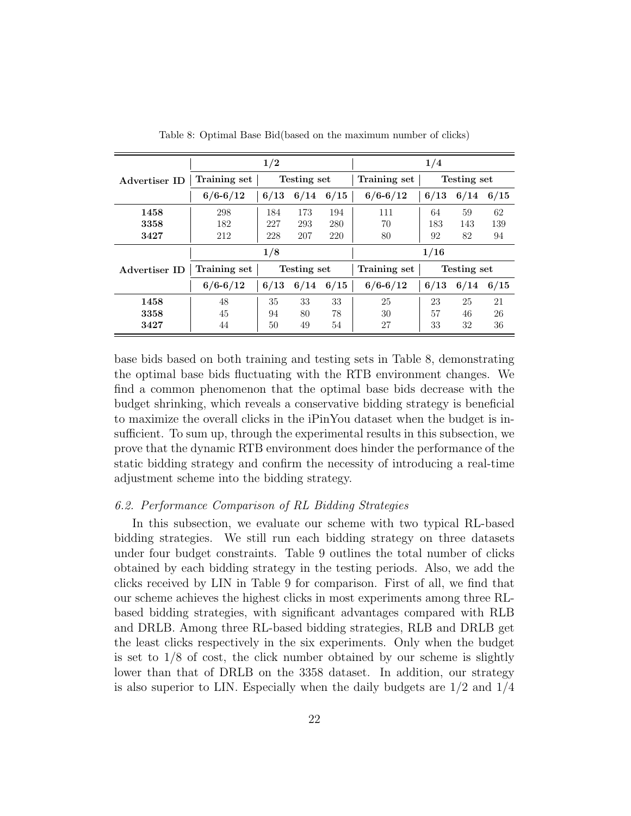|                      |              | 1/2         |              |      | 1/4          |             |             |      |  |
|----------------------|--------------|-------------|--------------|------|--------------|-------------|-------------|------|--|
| Advertiser ID        | Training set | Testing set |              |      | Training set | Testing set |             |      |  |
|                      | $6/6 - 6/12$ | 6/13        | 6/14<br>6/15 |      | $6/6 - 6/12$ | 6/13        | 6/14        | 6/15 |  |
| 1458                 | 298          | 184         | 173          | 194  | 111          | 64          | 59          | 62   |  |
| 3358                 | 182          | 227         | 293          | 280  | 70           | 183         | 143         | 139  |  |
| 3427                 | 212          | 228         | 207          | 220  | 80           | 92          | 82          | 94   |  |
|                      |              | 1/8         |              |      |              | 1/16        |             |      |  |
| <b>Advertiser ID</b> | Training set |             | Testing set  |      | Training set |             | Testing set |      |  |
|                      | $6/6 - 6/12$ | 6/13        | 6/14         | 6/15 | $6/6 - 6/12$ | 6/13        | 6/14        | 6/15 |  |
| 1458                 | 48           | 35          | 33           | 33   | 25           | 23          | 25          | 21   |  |
| 3358                 | 45           | 94          | 80           | 78   | 30           | 57          | 46          | 26   |  |
| 3427                 | 44           | 50          | 49           | 54   | 27           | 33          | 32          | 36   |  |

Table 8: Optimal Base Bid(based on the maximum number of clicks)

base bids based on both training and testing sets in Table 8, demonstrating the optimal base bids fluctuating with the RTB environment changes. We find a common phenomenon that the optimal base bids decrease with the budget shrinking, which reveals a conservative bidding strategy is beneficial to maximize the overall clicks in the iPinYou dataset when the budget is insufficient. To sum up, through the experimental results in this subsection, we prove that the dynamic RTB environment does hinder the performance of the static bidding strategy and confirm the necessity of introducing a real-time adjustment scheme into the bidding strategy.

#### 6.2. Performance Comparison of RL Bidding Strategies

In this subsection, we evaluate our scheme with two typical RL-based bidding strategies. We still run each bidding strategy on three datasets under four budget constraints. Table 9 outlines the total number of clicks obtained by each bidding strategy in the testing periods. Also, we add the clicks received by LIN in Table 9 for comparison. First of all, we find that our scheme achieves the highest clicks in most experiments among three RLbased bidding strategies, with significant advantages compared with RLB and DRLB. Among three RL-based bidding strategies, RLB and DRLB get the least clicks respectively in the six experiments. Only when the budget is set to  $1/8$  of cost, the click number obtained by our scheme is slightly lower than that of DRLB on the 3358 dataset. In addition, our strategy is also superior to LIN. Especially when the daily budgets are  $1/2$  and  $1/4$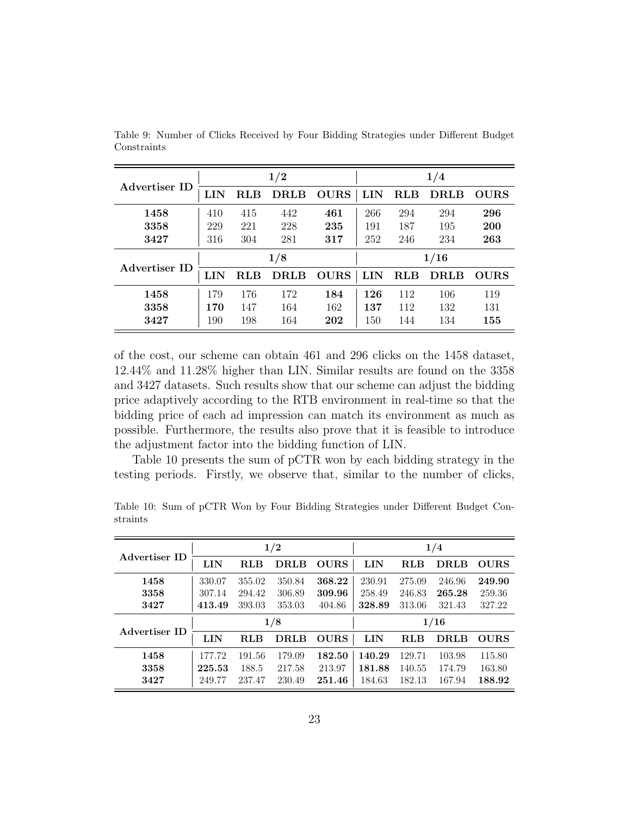|               |     |            | 1/2         |             | 1/4  |            |             |             |  |
|---------------|-----|------------|-------------|-------------|------|------------|-------------|-------------|--|
| Advertiser ID | LIN | <b>RLB</b> | DRLB        | <b>OURS</b> | LIN  | RLB        | <b>DRLB</b> | <b>OURS</b> |  |
| 1458          | 410 | 415        | 442         | 461         | 266  | 294        | 294         | 296         |  |
| 3358          | 229 | 221        | 228         | 235         | 191  | 187        | 195         | 200         |  |
| 3427          | 316 | 304        | 281         | 317         | 252  | 246        | 234         | 263         |  |
|               | 1/8 |            |             |             | 1/16 |            |             |             |  |
| Advertiser ID | LIN | RLB        | <b>DRLB</b> | <b>OURS</b> | LIN  | <b>RLB</b> | <b>DRLB</b> | <b>OURS</b> |  |
| 1458          | 179 | 176        | 172         | 184         | 126  | 112        | 106         | 119         |  |
| 3358          | 170 | 147        | 164         | 162         | 137  | 112        | 132         | 131         |  |
| 3427          | 190 | 198        | 164         | 202         | 150  | 144        | 134         | 155         |  |

Table 9: Number of Clicks Received by Four Bidding Strategies under Different Budget Constraints

of the cost, our scheme can obtain 461 and 296 clicks on the 1458 dataset, 12.44% and 11.28% higher than LIN. Similar results are found on the 3358 and 3427 datasets. Such results show that our scheme can adjust the bidding price adaptively according to the RTB environment in real-time so that the bidding price of each ad impression can match its environment as much as possible. Furthermore, the results also prove that it is feasible to introduce the adjustment factor into the bidding function of LIN.

Table 10 presents the sum of pCTR won by each bidding strategy in the testing periods. Firstly, we observe that, similar to the number of clicks,

|               | 1/2        |            |             |             | 1/4    |            |        |             |  |
|---------------|------------|------------|-------------|-------------|--------|------------|--------|-------------|--|
| Advertiser ID | <b>LIN</b> | <b>RLB</b> | <b>DRLB</b> | <b>OURS</b> | LIN    | RLB        | DRLB   | <b>OURS</b> |  |
| 1458          | 330.07     | 355.02     | 350.84      | 368.22      | 230.91 | 275.09     | 246.96 | 249.90      |  |
| 3358          | 307.14     | 294.42     | 306.89      | 309.96      | 258.49 | 246.83     | 265.28 | 259.36      |  |
| 3427          | 413.49     | 393.03     | 353.03      | 404.86      | 328.89 | 313.06     | 321.43 | 327.22      |  |
|               | 1/8        |            |             |             | 1/16   |            |        |             |  |
| Advertiser ID | LIN        | <b>RLB</b> | <b>DRLB</b> | <b>OURS</b> | LIN    | <b>RLB</b> | DRLB   | <b>OURS</b> |  |
| 1458          | 177.72     | 191.56     | 179.09      | 182.50      | 140.29 | 129.71     | 103.98 | 115.80      |  |
| 3358          | 225.53     | 188.5      | 217.58      | 213.97      | 181.88 | 140.55     | 174.79 | 163.80      |  |
| 3427          | 249.77     | 237.47     | 230.49      | 251.46      | 184.63 | 182.13     | 167.94 | 188.92      |  |

Table 10: Sum of pCTR Won by Four Bidding Strategies under Different Budget Constraints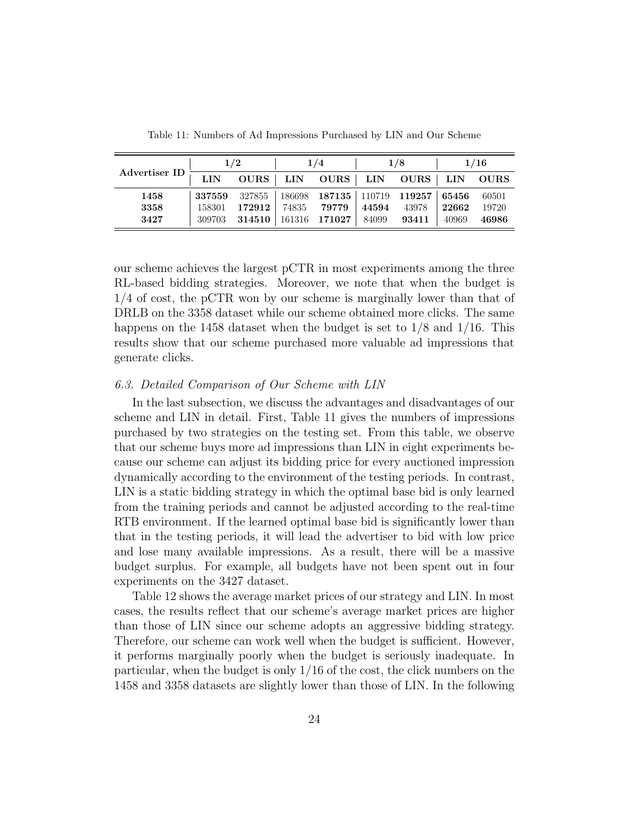| Advertiser ID | 1/2    |             | 1/4        |                 | 1/8        |             | 1/16       |             |
|---------------|--------|-------------|------------|-----------------|------------|-------------|------------|-------------|
|               | LIN    | <b>OURS</b> | <b>LIN</b> | <b>OURS</b>     | <b>LIN</b> | <b>OURS</b> | <b>LIN</b> | <b>OURS</b> |
| 1458          | 337559 | 327855      | 186698     | 187135   110719 |            | 119257      | 65456      | 60501       |
| 3358          | 158301 | 172912      | 74835      | 79779           | 44594      | 43978       | 22662      | 19720       |
| 3427          | 309703 | 314510      | 161316     | 171027          | 84099      | 93411       | 40969      | 46986       |

Table 11: Numbers of Ad Impressions Purchased by LIN and Our Scheme

our scheme achieves the largest pCTR in most experiments among the three RL-based bidding strategies. Moreover, we note that when the budget is 1/4 of cost, the pCTR won by our scheme is marginally lower than that of DRLB on the 3358 dataset while our scheme obtained more clicks. The same happens on the 1458 dataset when the budget is set to 1/8 and 1/16. This results show that our scheme purchased more valuable ad impressions that generate clicks.

# 6.3. Detailed Comparison of Our Scheme with LIN

In the last subsection, we discuss the advantages and disadvantages of our scheme and LIN in detail. First, Table 11 gives the numbers of impressions purchased by two strategies on the testing set. From this table, we observe that our scheme buys more ad impressions than LIN in eight experiments because our scheme can adjust its bidding price for every auctioned impression dynamically according to the environment of the testing periods. In contrast, LIN is a static bidding strategy in which the optimal base bid is only learned from the training periods and cannot be adjusted according to the real-time RTB environment. If the learned optimal base bid is significantly lower than that in the testing periods, it will lead the advertiser to bid with low price and lose many available impressions. As a result, there will be a massive budget surplus. For example, all budgets have not been spent out in four experiments on the 3427 dataset.

Table 12 shows the average market prices of our strategy and LIN. In most cases, the results reflect that our scheme's average market prices are higher than those of LIN since our scheme adopts an aggressive bidding strategy. Therefore, our scheme can work well when the budget is sufficient. However, it performs marginally poorly when the budget is seriously inadequate. In particular, when the budget is only 1/16 of the cost, the click numbers on the 1458 and 3358 datasets are slightly lower than those of LIN. In the following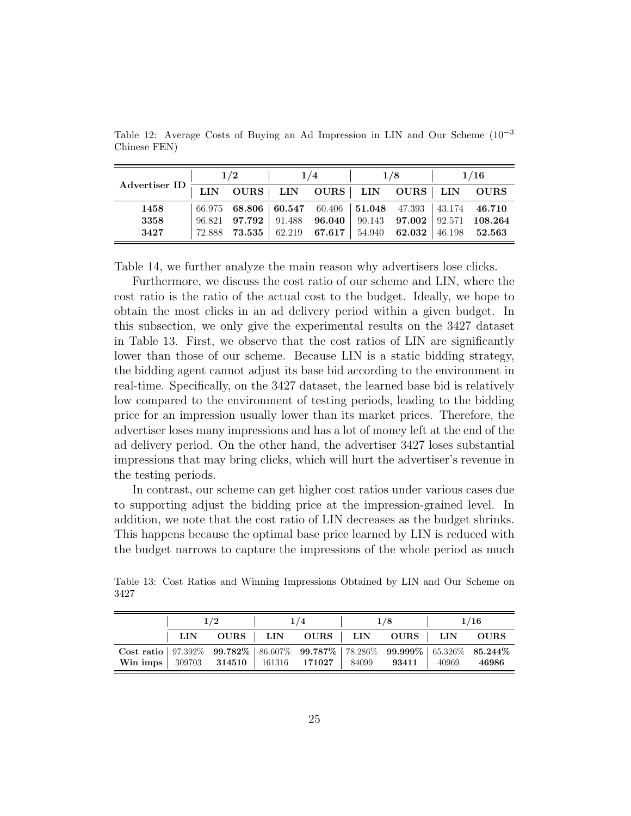|                                                                                                                                                                                                                                   | 1/2                                                     |        | 1/4    |        | 1/8                              | 1/16        |
|-----------------------------------------------------------------------------------------------------------------------------------------------------------------------------------------------------------------------------------|---------------------------------------------------------|--------|--------|--------|----------------------------------|-------------|
| $\begin{tabular}{c c c c c} \hline \multicolumn{3}{c }{A} devertiser ID & \multicolumn{3}{c }{LIN} & \multicolumn{3}{c }{OURS & LIN} & \multicolumn{3}{c }{OURS} & LIN & \multicolumn{3}{c }{OURS} & LIN \\ \hline \end{tabular}$ |                                                         |        |        |        |                                  | <b>OURS</b> |
| 1458                                                                                                                                                                                                                              | 66.975 68.806 60.547 60.406 51.048 47.393 43.174 46.710 |        |        |        |                                  |             |
| 3358                                                                                                                                                                                                                              | $96.821$ $97.792$                                       | 91.488 | 96.040 | 90.143 | 97.002   $92.571$                | 108.264     |
| 3427                                                                                                                                                                                                                              | $72.888$ $73.535$ $62.219$ $67.617$                     |        |        | 54.940 | $62.032 \mid 46.198 \mid 52.563$ |             |

Table 12: Average Costs of Buying an Ad Impression in LIN and Our Scheme (10−<sup>3</sup> Chinese FEN)

Table 14, we further analyze the main reason why advertisers lose clicks.

Furthermore, we discuss the cost ratio of our scheme and LIN, where the cost ratio is the ratio of the actual cost to the budget. Ideally, we hope to obtain the most clicks in an ad delivery period within a given budget. In this subsection, we only give the experimental results on the 3427 dataset in Table 13. First, we observe that the cost ratios of LIN are significantly lower than those of our scheme. Because LIN is a static bidding strategy, the bidding agent cannot adjust its base bid according to the environment in real-time. Specifically, on the 3427 dataset, the learned base bid is relatively low compared to the environment of testing periods, leading to the bidding price for an impression usually lower than its market prices. Therefore, the advertiser loses many impressions and has a lot of money left at the end of the ad delivery period. On the other hand, the advertiser 3427 loses substantial impressions that may bring clicks, which will hurt the advertiser's revenue in the testing periods.

In contrast, our scheme can get higher cost ratios under various cases due to supporting adjust the bidding price at the impression-grained level. In addition, we note that the cost ratio of LIN decreases as the budget shrinks. This happens because the optimal base price learned by LIN is reduced with the budget narrows to capture the impressions of the whole period as much

Table 13: Cost Ratios and Winning Impressions Obtained by LIN and Our Scheme on 3427

|                                                                                    |      | 1/2 | 1/4 | 1/8                              | 1/16  |             |
|------------------------------------------------------------------------------------|------|-----|-----|----------------------------------|-------|-------------|
|                                                                                    | LIN. |     |     | OURS   LIN OURS   LIN OURS   LIN |       | <b>OURS</b> |
| Cost ratio   97.392% 99.782%   86.607% 99.787%   78.286% 99.999%   65.326% 85.244% |      |     |     | 93411                            | 40969 | 46986       |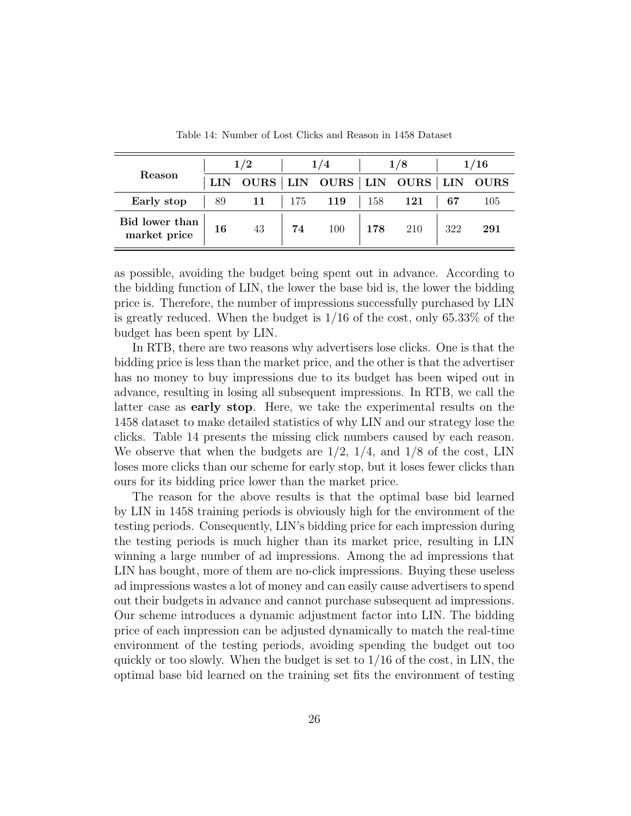| Reason                         | 1/2 |             |     |     | 1/8 |                   | 1/16           |             |
|--------------------------------|-----|-------------|-----|-----|-----|-------------------|----------------|-------------|
|                                |     | <b>OURS</b> |     |     |     | LIN OURS LIN OURS | $\text{LIN}{}$ | <b>OURS</b> |
| Early stop                     | 89  | 11          | 175 | 119 | 158 | 121               | 67             | 105         |
| Bid lower than<br>market price | 16  | 43          | 74  | 100 | 178 | 210               | 322            | 291         |

Table 14: Number of Lost Clicks and Reason in 1458 Dataset

as possible, avoiding the budget being spent out in advance. According to the bidding function of LIN, the lower the base bid is, the lower the bidding price is. Therefore, the number of impressions successfully purchased by LIN is greatly reduced. When the budget is  $1/16$  of the cost, only 65.33% of the budget has been spent by LIN.

In RTB, there are two reasons why advertisers lose clicks. One is that the bidding price is less than the market price, and the other is that the advertiser has no money to buy impressions due to its budget has been wiped out in advance, resulting in losing all subsequent impressions. In RTB, we call the latter case as early stop. Here, we take the experimental results on the 1458 dataset to make detailed statistics of why LIN and our strategy lose the clicks. Table 14 presents the missing click numbers caused by each reason. We observe that when the budgets are  $1/2$ ,  $1/4$ , and  $1/8$  of the cost, LIN loses more clicks than our scheme for early stop, but it loses fewer clicks than ours for its bidding price lower than the market price.

The reason for the above results is that the optimal base bid learned by LIN in 1458 training periods is obviously high for the environment of the testing periods. Consequently, LIN's bidding price for each impression during the testing periods is much higher than its market price, resulting in LIN winning a large number of ad impressions. Among the ad impressions that LIN has bought, more of them are no-click impressions. Buying these useless ad impressions wastes a lot of money and can easily cause advertisers to spend out their budgets in advance and cannot purchase subsequent ad impressions. Our scheme introduces a dynamic adjustment factor into LIN. The bidding price of each impression can be adjusted dynamically to match the real-time environment of the testing periods, avoiding spending the budget out too quickly or too slowly. When the budget is set to  $1/16$  of the cost, in LIN, the optimal base bid learned on the training set fits the environment of testing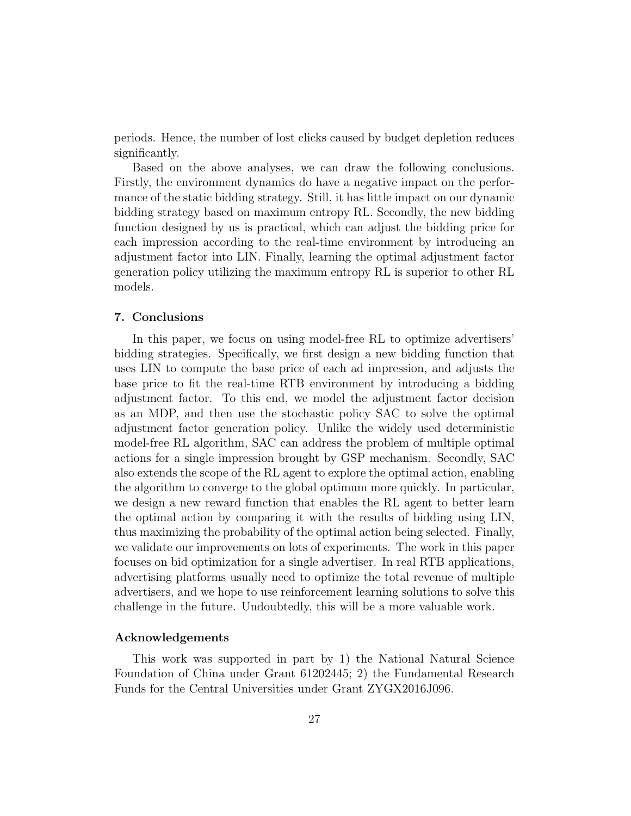periods. Hence, the number of lost clicks caused by budget depletion reduces significantly.

Based on the above analyses, we can draw the following conclusions. Firstly, the environment dynamics do have a negative impact on the performance of the static bidding strategy. Still, it has little impact on our dynamic bidding strategy based on maximum entropy RL. Secondly, the new bidding function designed by us is practical, which can adjust the bidding price for each impression according to the real-time environment by introducing an adjustment factor into LIN. Finally, learning the optimal adjustment factor generation policy utilizing the maximum entropy RL is superior to other RL models.

#### 7. Conclusions

In this paper, we focus on using model-free RL to optimize advertisers' bidding strategies. Specifically, we first design a new bidding function that uses LIN to compute the base price of each ad impression, and adjusts the base price to fit the real-time RTB environment by introducing a bidding adjustment factor. To this end, we model the adjustment factor decision as an MDP, and then use the stochastic policy SAC to solve the optimal adjustment factor generation policy. Unlike the widely used deterministic model-free RL algorithm, SAC can address the problem of multiple optimal actions for a single impression brought by GSP mechanism. Secondly, SAC also extends the scope of the RL agent to explore the optimal action, enabling the algorithm to converge to the global optimum more quickly. In particular, we design a new reward function that enables the RL agent to better learn the optimal action by comparing it with the results of bidding using LIN, thus maximizing the probability of the optimal action being selected. Finally, we validate our improvements on lots of experiments. The work in this paper focuses on bid optimization for a single advertiser. In real RTB applications, advertising platforms usually need to optimize the total revenue of multiple advertisers, and we hope to use reinforcement learning solutions to solve this challenge in the future. Undoubtedly, this will be a more valuable work.

# Acknowledgements

This work was supported in part by 1) the National Natural Science Foundation of China under Grant 61202445; 2) the Fundamental Research Funds for the Central Universities under Grant ZYGX2016J096.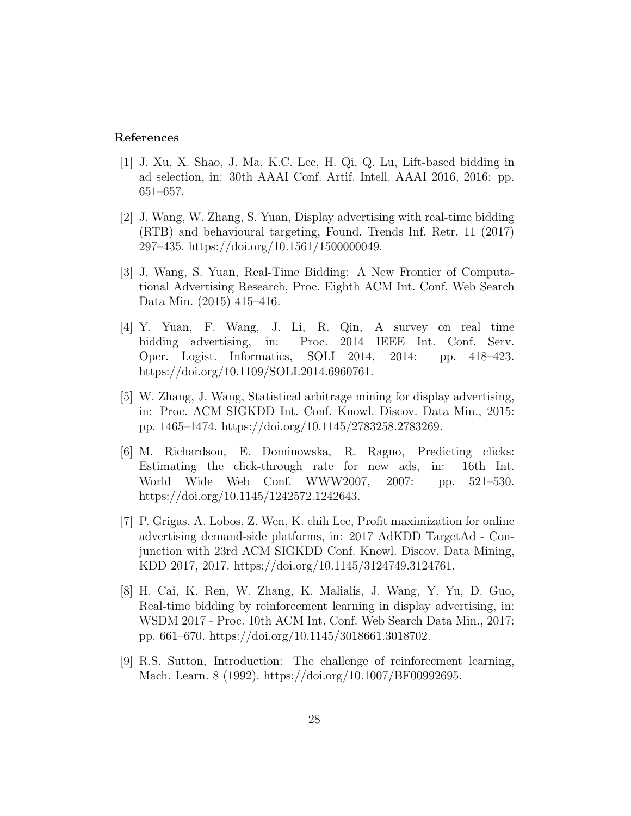### References

- <span id="page-27-0"></span>[1] J. Xu, X. Shao, J. Ma, K.C. Lee, H. Qi, Q. Lu, Lift-based bidding in ad selection, in: 30th AAAI Conf. Artif. Intell. AAAI 2016, 2016: pp. 651–657.
- <span id="page-27-1"></span>[2] J. Wang, W. Zhang, S. Yuan, Display advertising with real-time bidding (RTB) and behavioural targeting, Found. Trends Inf. Retr. 11 (2017) 297–435. https://doi.org/10.1561/1500000049.
- <span id="page-27-2"></span>[3] J. Wang, S. Yuan, Real-Time Bidding: A New Frontier of Computational Advertising Research, Proc. Eighth ACM Int. Conf. Web Search Data Min. (2015) 415–416.
- <span id="page-27-3"></span>[4] Y. Yuan, F. Wang, J. Li, R. Qin, A survey on real time bidding advertising, in: Proc. 2014 IEEE Int. Conf. Serv. Oper. Logist. Informatics, SOLI 2014, 2014: pp. 418–423. https://doi.org/10.1109/SOLI.2014.6960761.
- <span id="page-27-4"></span>[5] W. Zhang, J. Wang, Statistical arbitrage mining for display advertising, in: Proc. ACM SIGKDD Int. Conf. Knowl. Discov. Data Min., 2015: pp. 1465–1474. https://doi.org/10.1145/2783258.2783269.
- <span id="page-27-5"></span>[6] M. Richardson, E. Dominowska, R. Ragno, Predicting clicks: Estimating the click-through rate for new ads, in: 16th Int. World Wide Web Conf. WWW2007, 2007: pp. 521–530. https://doi.org/10.1145/1242572.1242643.
- <span id="page-27-6"></span>[7] P. Grigas, A. Lobos, Z. Wen, K. chih Lee, Profit maximization for online advertising demand-side platforms, in: 2017 AdKDD TargetAd - Conjunction with 23rd ACM SIGKDD Conf. Knowl. Discov. Data Mining, KDD 2017, 2017. https://doi.org/10.1145/3124749.3124761.
- <span id="page-27-7"></span>[8] H. Cai, K. Ren, W. Zhang, K. Malialis, J. Wang, Y. Yu, D. Guo, Real-time bidding by reinforcement learning in display advertising, in: WSDM 2017 - Proc. 10th ACM Int. Conf. Web Search Data Min., 2017: pp. 661–670. https://doi.org/10.1145/3018661.3018702.
- <span id="page-27-8"></span>[9] R.S. Sutton, Introduction: The challenge of reinforcement learning, Mach. Learn. 8 (1992). https://doi.org/10.1007/BF00992695.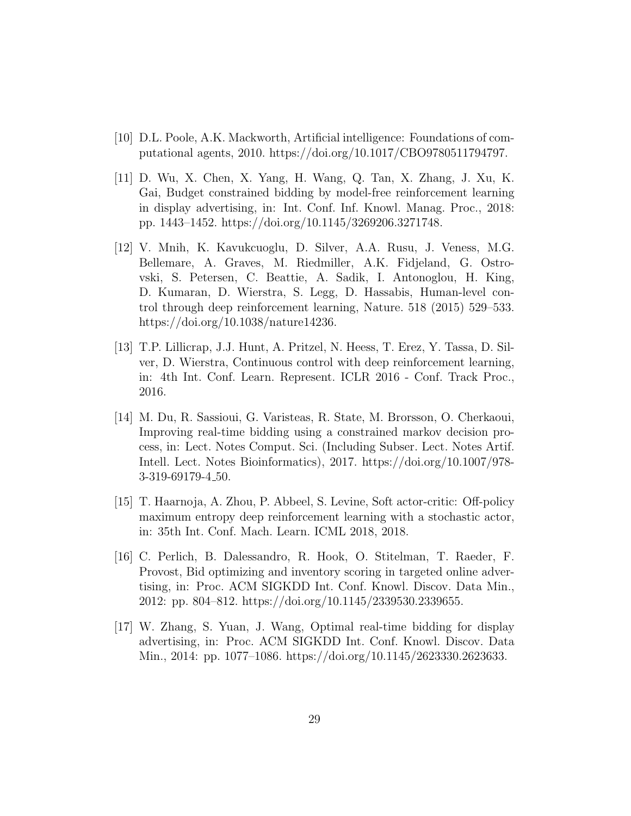- <span id="page-28-0"></span>[10] D.L. Poole, A.K. Mackworth, Artificial intelligence: Foundations of computational agents, 2010. https://doi.org/10.1017/CBO9780511794797.
- <span id="page-28-1"></span>[11] D. Wu, X. Chen, X. Yang, H. Wang, Q. Tan, X. Zhang, J. Xu, K. Gai, Budget constrained bidding by model-free reinforcement learning in display advertising, in: Int. Conf. Inf. Knowl. Manag. Proc., 2018: pp. 1443–1452. https://doi.org/10.1145/3269206.3271748.
- <span id="page-28-2"></span>[12] V. Mnih, K. Kavukcuoglu, D. Silver, A.A. Rusu, J. Veness, M.G. Bellemare, A. Graves, M. Riedmiller, A.K. Fidjeland, G. Ostrovski, S. Petersen, C. Beattie, A. Sadik, I. Antonoglou, H. King, D. Kumaran, D. Wierstra, S. Legg, D. Hassabis, Human-level control through deep reinforcement learning, Nature. 518 (2015) 529–533. https://doi.org/10.1038/nature14236.
- <span id="page-28-3"></span>[13] T.P. Lillicrap, J.J. Hunt, A. Pritzel, N. Heess, T. Erez, Y. Tassa, D. Silver, D. Wierstra, Continuous control with deep reinforcement learning, in: 4th Int. Conf. Learn. Represent. ICLR 2016 - Conf. Track Proc., 2016.
- <span id="page-28-4"></span>[14] M. Du, R. Sassioui, G. Varisteas, R. State, M. Brorsson, O. Cherkaoui, Improving real-time bidding using a constrained markov decision process, in: Lect. Notes Comput. Sci. (Including Subser. Lect. Notes Artif. Intell. Lect. Notes Bioinformatics), 2017. https://doi.org/10.1007/978- 3-319-69179-4 50.
- <span id="page-28-5"></span>[15] T. Haarnoja, A. Zhou, P. Abbeel, S. Levine, Soft actor-critic: Off-policy maximum entropy deep reinforcement learning with a stochastic actor, in: 35th Int. Conf. Mach. Learn. ICML 2018, 2018.
- <span id="page-28-6"></span>[16] C. Perlich, B. Dalessandro, R. Hook, O. Stitelman, T. Raeder, F. Provost, Bid optimizing and inventory scoring in targeted online advertising, in: Proc. ACM SIGKDD Int. Conf. Knowl. Discov. Data Min., 2012: pp. 804–812. https://doi.org/10.1145/2339530.2339655.
- <span id="page-28-7"></span>[17] W. Zhang, S. Yuan, J. Wang, Optimal real-time bidding for display advertising, in: Proc. ACM SIGKDD Int. Conf. Knowl. Discov. Data Min., 2014: pp. 1077–1086. https://doi.org/10.1145/2623330.2623633.